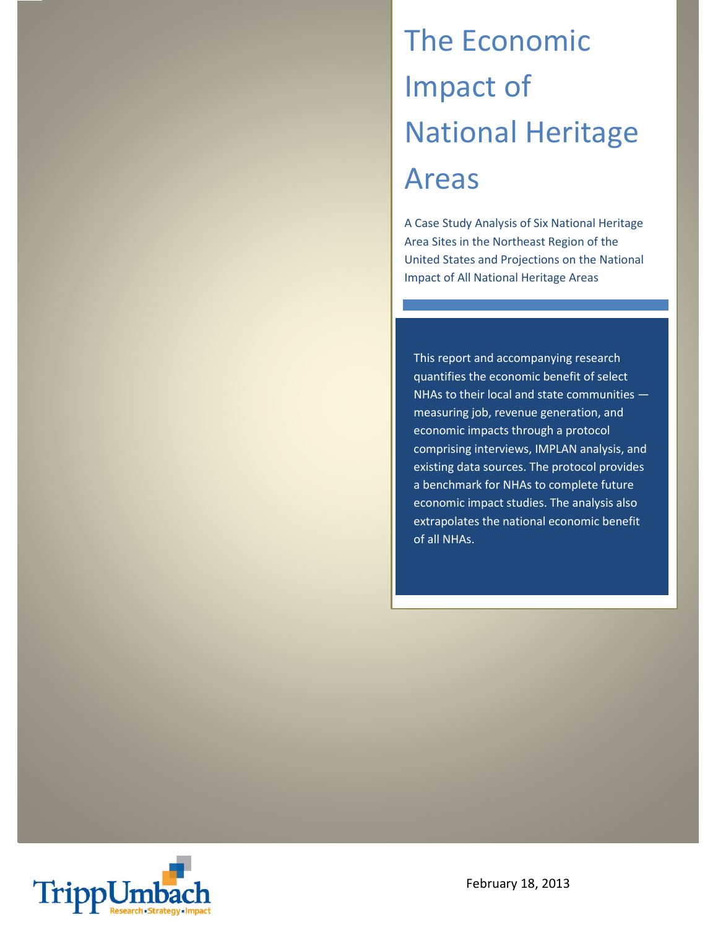# The Economic Impact of National Heritage Areas

A Case Study Analysis of Six National Heritage Area Sites in the Northeast Region of the United States and Projections on the National Impact of All National Heritage Areas

This report and accompanying research quantifies the economic benefit of select NHAs to their local and state communities measuring job, revenue generation, and economic impacts through a protocol comprising interviews, IMPLAN analysis, and existing data sources. The protocol provides a benchmark for NHAs to complete future economic impact studies. The analysis also extrapolates the national economic benefit of all NHAs.

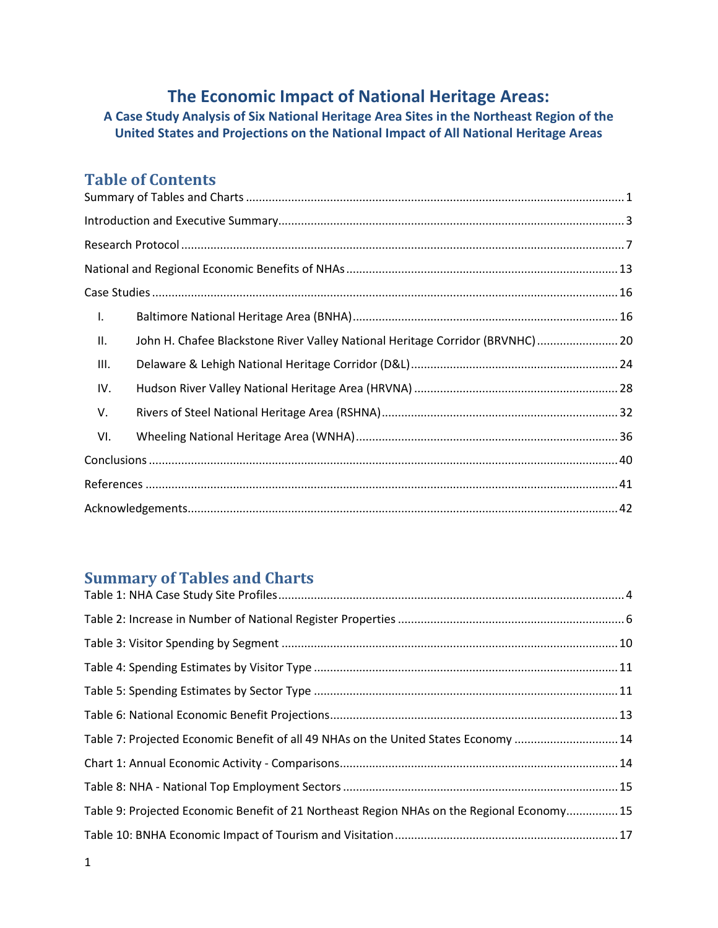# **The Economic Impact of National Heritage Areas:**

**A Case Study Analysis of Six National Heritage Area Sites in the Northeast Region of the United States and Projections on the National Impact of All National Heritage Areas**

# **Table of Contents**

| Ι.                                                                                   |
|--------------------------------------------------------------------------------------|
| John H. Chafee Blackstone River Valley National Heritage Corridor (BRVNHC)  20<br>П. |
| Ш.                                                                                   |
| IV.                                                                                  |
| V.                                                                                   |
| VI.                                                                                  |
|                                                                                      |
|                                                                                      |
|                                                                                      |

# <span id="page-1-0"></span>**Summary of Tables and Charts**

| Table 7: Projected Economic Benefit of all 49 NHAs on the United States Economy 14         |
|--------------------------------------------------------------------------------------------|
|                                                                                            |
|                                                                                            |
| Table 9: Projected Economic Benefit of 21 Northeast Region NHAs on the Regional Economy 15 |
|                                                                                            |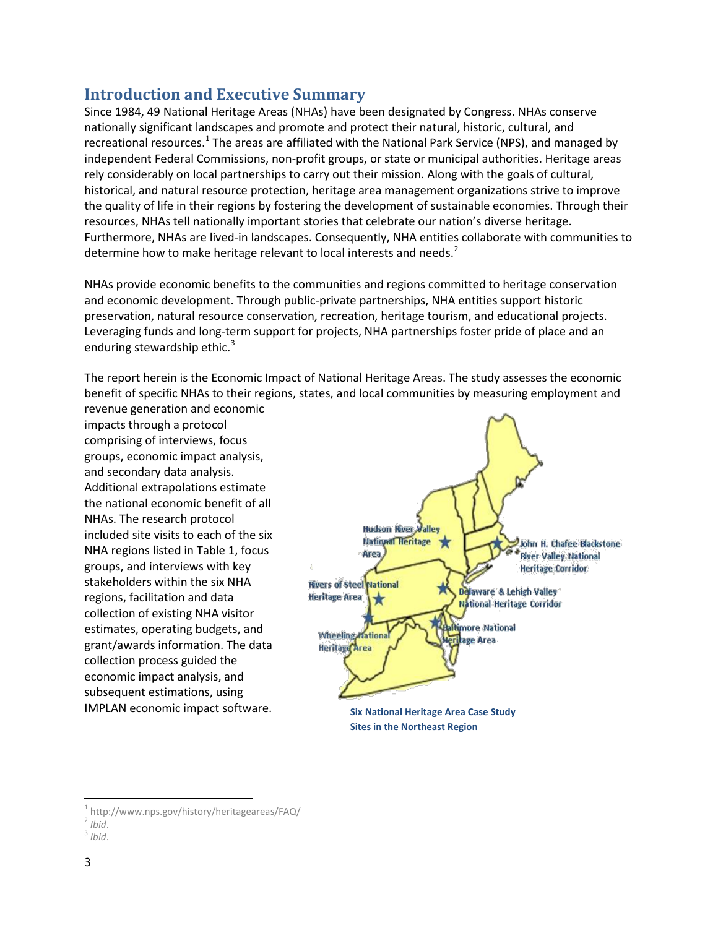# <span id="page-3-0"></span>**Introduction and Executive Summary**

Since 1984, 49 National Heritage Areas (NHAs) have been designated by Congress. NHAs conserve nationally significant landscapes and promote and protect their natural, historic, cultural, and recreational resources.<sup>[1](#page-3-1)</sup> The areas are affiliated with the National Park Service (NPS), and managed by independent Federal Commissions, non-profit groups, or state or municipal authorities. Heritage areas rely considerably on local partnerships to carry out their mission. Along with the goals of cultural, historical, and natural resource protection, heritage area management organizations strive to improve the quality of life in their regions by fostering the development of sustainable economies. Through their resources, NHAs tell nationally important stories that celebrate our nation's diverse heritage. Furthermore, NHAs are lived-in landscapes. Consequently, NHA entities collaborate with communities to determine how to make heritage relevant to local interests and needs.<sup>[2](#page-3-2)</sup>

NHAs provide economic benefits to the communities and regions committed to heritage conservation and economic development. Through public-private partnerships, NHA entities support historic preservation, natural resource conservation, recreation, heritage tourism, and educational projects. Leveraging funds and long-term support for projects, NHA partnerships foster pride of place and an enduring stewardship ethic. $3$ 

The report herein is the Economic Impact of National Heritage Areas. The study assesses the economic benefit of specific NHAs to their regions, states, and local communities by measuring employment and

revenue generation and economic impacts through a protocol comprising of interviews, focus groups, economic impact analysis, and secondary data analysis. Additional extrapolations estimate the national economic benefit of all NHAs. The research protocol included site visits to each of the six NHA regions listed in Table 1, focus groups, and interviews with key stakeholders within the six NHA regions, facilitation and data collection of existing NHA visitor estimates, operating budgets, and grant/awards information. The data collection process guided the economic impact analysis, and subsequent estimations, using IMPLAN economic impact software.



**Sites in the Northeast Region**

<span id="page-3-1"></span><sup>&</sup>lt;sup>1</sup> http://www.nps.gov/history/heritageareas/FAQ/ $\frac{2 \text{ Ihid}}{1 \text{ Edd}}$ 

<span id="page-3-2"></span>

<span id="page-3-3"></span><sup>2</sup> *Ibid*. 3 *Ibid*.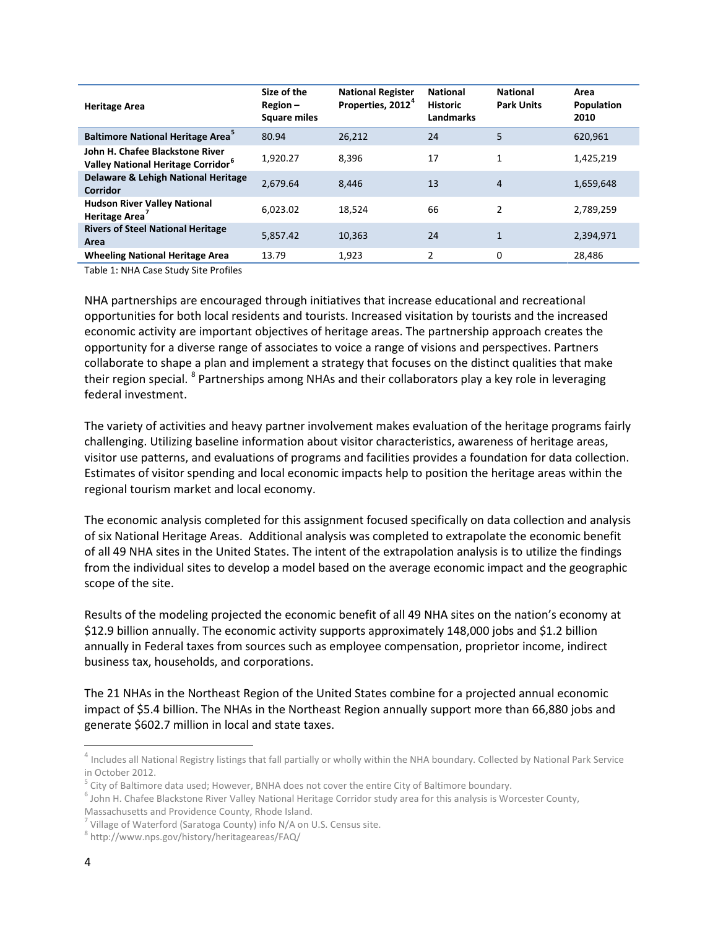| <b>Heritage Area</b>                                                              | Size of the<br>$Region -$<br><b>Square miles</b> | <b>National Register</b><br>Properties, 2012 <sup>4</sup> | <b>National</b><br><b>Historic</b><br><b>Landmarks</b> | <b>National</b><br><b>Park Units</b> | Area<br>Population<br>2010 |
|-----------------------------------------------------------------------------------|--------------------------------------------------|-----------------------------------------------------------|--------------------------------------------------------|--------------------------------------|----------------------------|
| <b>Baltimore National Heritage Area</b>                                           | 80.94                                            | 26,212                                                    | 24                                                     | 5                                    | 620,961                    |
| John H. Chafee Blackstone River<br>Valley National Heritage Corridor <sup>6</sup> | 1,920.27                                         | 8,396                                                     | 17                                                     | 1                                    | 1,425,219                  |
| Delaware & Lehigh National Heritage<br><b>Corridor</b>                            | 2.679.64                                         | 8.446                                                     | 13                                                     | 4                                    | 1,659,648                  |
| <b>Hudson River Valley National</b><br>Heritage Area <sup>7</sup>                 | 6.023.02                                         | 18.524                                                    | 66                                                     | 2                                    | 2,789,259                  |
| <b>Rivers of Steel National Heritage</b><br>Area                                  | 5,857.42                                         | 10,363                                                    | 24                                                     | $\mathbf{1}$                         | 2,394,971                  |
| <b>Wheeling National Heritage Area</b>                                            | 13.79                                            | 1.923                                                     | 2                                                      | 0                                    | 28.486                     |

<span id="page-4-0"></span>Table 1: NHA Case Study Site Profiles

NHA partnerships are encouraged through initiatives that increase educational and recreational opportunities for both local residents and tourists. Increased visitation by tourists and the increased economic activity are important objectives of heritage areas. The partnership approach creates the opportunity for a diverse range of associates to voice a range of visions and perspectives. Partners collaborate to shape a plan and implement a strategy that focuses on the distinct qualities that make their region special. <sup>[8](#page-4-5)</sup> Partnerships among NHAs and their collaborators play a key role in leveraging federal investment.

The variety of activities and heavy partner involvement makes evaluation of the heritage programs fairly challenging. Utilizing baseline information about visitor characteristics, awareness of heritage areas, visitor use patterns, and evaluations of programs and facilities provides a foundation for data collection. Estimates of visitor spending and local economic impacts help to position the heritage areas within the regional tourism market and local economy.

The economic analysis completed for this assignment focused specifically on data collection and analysis of six National Heritage Areas. Additional analysis was completed to extrapolate the economic benefit of all 49 NHA sites in the United States. The intent of the extrapolation analysis is to utilize the findings from the individual sites to develop a model based on the average economic impact and the geographic scope of the site.

Results of the modeling projected the economic benefit of all 49 NHA sites on the nation's economy at \$12.9 billion annually. The economic activity supports approximately 148,000 jobs and \$1.2 billion annually in Federal taxes from sources such as employee compensation, proprietor income, indirect business tax, households, and corporations.

The 21 NHAs in the Northeast Region of the United States combine for a projected annual economic impact of \$5.4 billion. The NHAs in the Northeast Region annually support more than 66,880 jobs and generate \$602.7 million in local and state taxes.

<span id="page-4-1"></span><sup>&</sup>lt;sup>4</sup> Includes all National Registry listings that fall partially or wholly within the NHA boundary. Collected by National Park Service in October 2012.

<span id="page-4-2"></span> $5$  City of Baltimore data used; However, BNHA does not cover the entire City of Baltimore boundary.

<span id="page-4-3"></span> $^6$  John H. Chafee Blackstone River Valley National Heritage Corridor study area for this analysis is Worcester County,

Massachusetts and Providence County, Rhode Island.

<span id="page-4-4"></span> $7$  Village of Waterford (Saratoga County) info N/A on U.S. Census site.

<span id="page-4-5"></span><sup>8</sup> http://www.nps.gov/history/heritageareas/FAQ/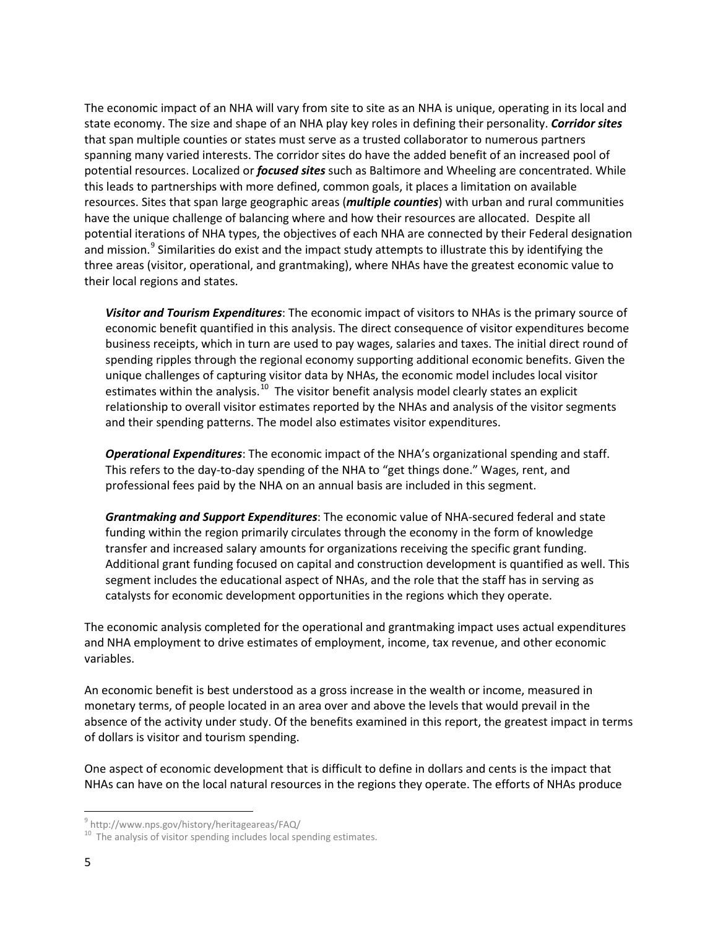The economic impact of an NHA will vary from site to site as an NHA is unique, operating in its local and state economy. The size and shape of an NHA play key roles in defining their personality. *Corridor sites* that span multiple counties or states must serve as a trusted collaborator to numerous partners spanning many varied interests. The corridor sites do have the added benefit of an increased pool of potential resources. Localized or *focused sites* such as Baltimore and Wheeling are concentrated. While this leads to partnerships with more defined, common goals, it places a limitation on available resources. Sites that span large geographic areas (*multiple counties*) with urban and rural communities have the unique challenge of balancing where and how their resources are allocated. Despite all potential iterations of NHA types, the objectives of each NHA are connected by their Federal designation and mission.<sup>[9](#page-5-0)</sup> Similarities do exist and the impact study attempts to illustrate this by identifying the three areas (visitor, operational, and grantmaking), where NHAs have the greatest economic value to their local regions and states.

*Visitor and Tourism Expenditures*: The economic impact of visitors to NHAs is the primary source of economic benefit quantified in this analysis. The direct consequence of visitor expenditures become business receipts, which in turn are used to pay wages, salaries and taxes. The initial direct round of spending ripples through the regional economy supporting additional economic benefits. Given the unique challenges of capturing visitor data by NHAs, the economic model includes local visitor estimates within the analysis. $10$  The visitor benefit analysis model clearly states an explicit relationship to overall visitor estimates reported by the NHAs and analysis of the visitor segments and their spending patterns. The model also estimates visitor expenditures.

*Operational Expenditures*: The economic impact of the NHA's organizational spending and staff. This refers to the day-to-day spending of the NHA to "get things done." Wages, rent, and professional fees paid by the NHA on an annual basis are included in this segment.

*Grantmaking and Support Expenditures*: The economic value of NHA-secured federal and state funding within the region primarily circulates through the economy in the form of knowledge transfer and increased salary amounts for organizations receiving the specific grant funding. Additional grant funding focused on capital and construction development is quantified as well. This segment includes the educational aspect of NHAs, and the role that the staff has in serving as catalysts for economic development opportunities in the regions which they operate.

The economic analysis completed for the operational and grantmaking impact uses actual expenditures and NHA employment to drive estimates of employment, income, tax revenue, and other economic variables.

An economic benefit is best understood as a gross increase in the wealth or income, measured in monetary terms, of people located in an area over and above the levels that would prevail in the absence of the activity under study. Of the benefits examined in this report, the greatest impact in terms of dollars is visitor and tourism spending.

One aspect of economic development that is difficult to define in dollars and cents is the impact that NHAs can have on the local natural resources in the regions they operate. The efforts of NHAs produce

<span id="page-5-0"></span> <sup>9</sup> http://www.nps.gov/history/heritageareas/FAQ/

<span id="page-5-1"></span> $10$  The analysis of visitor spending includes local spending estimates.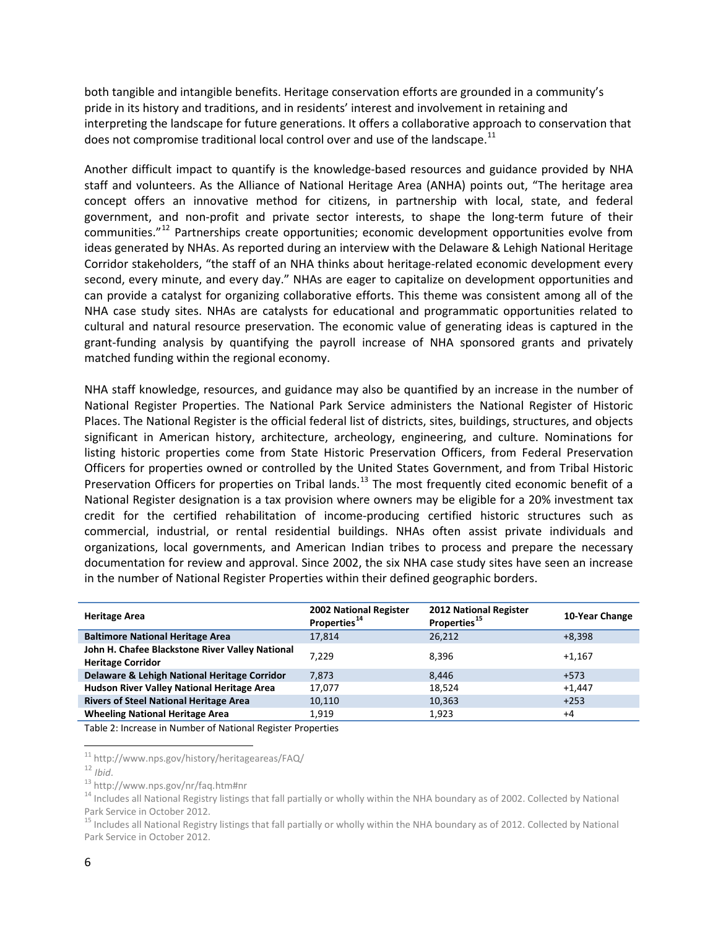both tangible and intangible benefits. Heritage conservation efforts are grounded in a community's pride in its history and traditions, and in residents' interest and involvement in retaining and interpreting the landscape for future generations. It offers a collaborative approach to conservation that does not compromise traditional local control over and use of the landscape.<sup>[11](#page-6-1)</sup>

Another difficult impact to quantify is the knowledge-based resources and guidance provided by NHA staff and volunteers. As the Alliance of National Heritage Area (ANHA) points out, "The heritage area concept offers an innovative method for citizens, in partnership with local, state, and federal government, and non-profit and private sector interests, to shape the long-term future of their communities."[12](#page-6-2) Partnerships create opportunities; economic development opportunities evolve from ideas generated by NHAs. As reported during an interview with the Delaware & Lehigh National Heritage Corridor stakeholders, "the staff of an NHA thinks about heritage-related economic development every second, every minute, and every day." NHAs are eager to capitalize on development opportunities and can provide a catalyst for organizing collaborative efforts. This theme was consistent among all of the NHA case study sites. NHAs are catalysts for educational and programmatic opportunities related to cultural and natural resource preservation. The economic value of generating ideas is captured in the grant-funding analysis by quantifying the payroll increase of NHA sponsored grants and privately matched funding within the regional economy.

NHA staff knowledge, resources, and guidance may also be quantified by an increase in the number of National Register Properties. The National Park Service administers the National Register of Historic Places. The National Register is the official federal list of districts, sites, buildings, structures, and objects significant in American history, architecture, archeology, engineering, and culture. Nominations for listing historic properties come from State Historic Preservation Officers, from Federal Preservation Officers for properties owned or controlled by the United States Government, and from Tribal Historic Preservation Officers for properties on Tribal lands.<sup>[13](#page-6-3)</sup> The most frequently cited economic benefit of a National Register designation is a tax provision where owners may be eligible for a 20% investment tax credit for the certified rehabilitation of income-producing certified historic structures such as commercial, industrial, or rental residential buildings. NHAs often assist private individuals and organizations, local governments, and American Indian tribes to process and prepare the necessary documentation for review and approval. Since 2002, the six NHA case study sites have seen an increase in the number of National Register Properties within their defined geographic borders.

| <b>Heritage Area</b>                                                        | <b>2002 National Register</b><br>Properties <sup>14</sup> | <b>2012 National Register</b><br>Properties <sup>15</sup> | 10-Year Change |
|-----------------------------------------------------------------------------|-----------------------------------------------------------|-----------------------------------------------------------|----------------|
| <b>Baltimore National Heritage Area</b>                                     | 17,814                                                    | 26,212                                                    | $+8.398$       |
| John H. Chafee Blackstone River Valley National<br><b>Heritage Corridor</b> | 7.229                                                     | 8.396                                                     | $+1.167$       |
| Delaware & Lehigh National Heritage Corridor                                | 7,873                                                     | 8.446                                                     | +573           |
| Hudson River Valley National Heritage Area                                  | 17,077                                                    | 18.524                                                    | $+1.447$       |
| <b>Rivers of Steel National Heritage Area</b>                               | 10,110                                                    | 10,363                                                    | $+253$         |
| <b>Wheeling National Heritage Area</b>                                      | 1,919                                                     | 1,923                                                     | $+4$           |

<span id="page-6-0"></span>Table 2: Increase in Number of National Register Properties

<span id="page-6-4"></span><span id="page-6-3"></span>

<span id="page-6-2"></span><span id="page-6-1"></span><sup>&</sup>lt;sup>11</sup> http://www.nps.gov/history/heritageareas/FAQ/<br><sup>12</sup> *Ibid.*<br><sup>13</sup> http://www.nps.gov/nr/faq.htm#nr<br><sup>13</sup> Includes all National Registry listings that fall partially or wholly within the NHA boundary as of 2002. Collecte Park Service in October 2012.

<span id="page-6-5"></span><sup>&</sup>lt;sup>15</sup> Includes all National Registry listings that fall partially or wholly within the NHA boundary as of 2012. Collected by National Park Service in October 2012.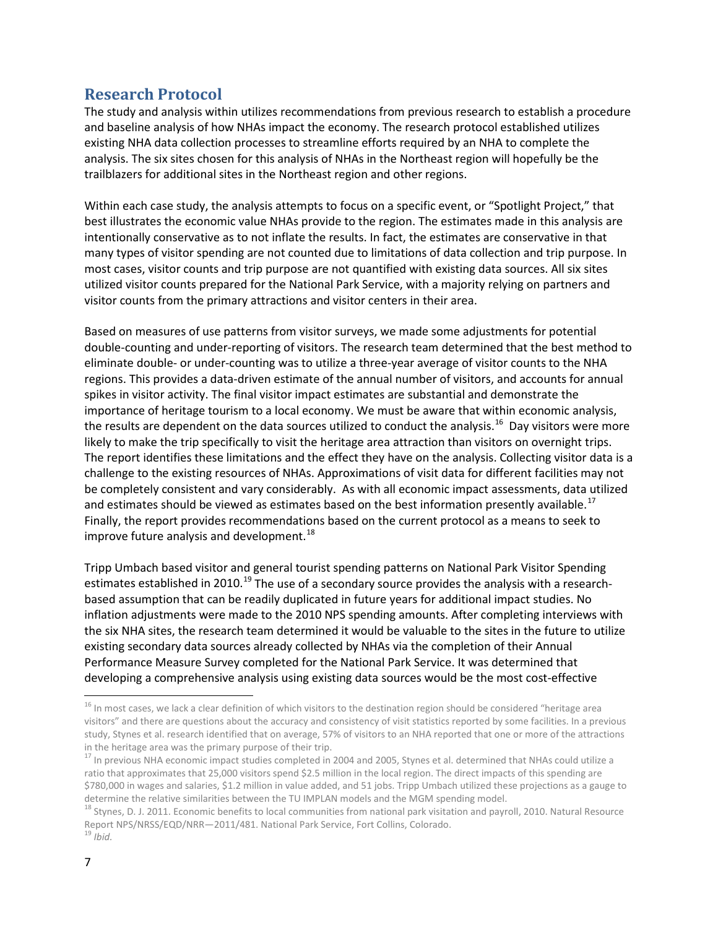# <span id="page-7-0"></span>**Research Protocol**

The study and analysis within utilizes recommendations from previous research to establish a procedure and baseline analysis of how NHAs impact the economy. The research protocol established utilizes existing NHA data collection processes to streamline efforts required by an NHA to complete the analysis. The six sites chosen for this analysis of NHAs in the Northeast region will hopefully be the trailblazers for additional sites in the Northeast region and other regions.

Within each case study, the analysis attempts to focus on a specific event, or "Spotlight Project," that best illustrates the economic value NHAs provide to the region. The estimates made in this analysis are intentionally conservative as to not inflate the results. In fact, the estimates are conservative in that many types of visitor spending are not counted due to limitations of data collection and trip purpose. In most cases, visitor counts and trip purpose are not quantified with existing data sources. All six sites utilized visitor counts prepared for the National Park Service, with a majority relying on partners and visitor counts from the primary attractions and visitor centers in their area.

Based on measures of use patterns from visitor surveys, we made some adjustments for potential double-counting and under-reporting of visitors. The research team determined that the best method to eliminate double- or under-counting was to utilize a three-year average of visitor counts to the NHA regions. This provides a data-driven estimate of the annual number of visitors, and accounts for annual spikes in visitor activity. The final visitor impact estimates are substantial and demonstrate the importance of heritage tourism to a local economy. We must be aware that within economic analysis, the results are dependent on the data sources utilized to conduct the analysis.<sup>[16](#page-7-1)</sup> Day visitors were more likely to make the trip specifically to visit the heritage area attraction than visitors on overnight trips. The report identifies these limitations and the effect they have on the analysis. Collecting visitor data is a challenge to the existing resources of NHAs. Approximations of visit data for different facilities may not be completely consistent and vary considerably. As with all economic impact assessments, data utilized and estimates should be viewed as estimates based on the best information presently available.<sup>[17](#page-7-2)</sup> Finally, the report provides recommendations based on the current protocol as a means to seek to improve future analysis and development. $^{18}$  $^{18}$  $^{18}$ 

Tripp Umbach based visitor and general tourist spending patterns on National Park Visitor Spending estimates established in 2010.<sup>[19](#page-7-4)</sup> The use of a secondary source provides the analysis with a researchbased assumption that can be readily duplicated in future years for additional impact studies. No inflation adjustments were made to the 2010 NPS spending amounts. After completing interviews with the six NHA sites, the research team determined it would be valuable to the sites in the future to utilize existing secondary data sources already collected by NHAs via the completion of their Annual Performance Measure Survey completed for the National Park Service. It was determined that developing a comprehensive analysis using existing data sources would be the most cost-effective

<span id="page-7-1"></span><sup>&</sup>lt;sup>16</sup> In most cases, we lack a clear definition of which visitors to the destination region should be considered "heritage area visitors" and there are questions about the accuracy and consistency of visit statistics reported by some facilities. In a previous study, Stynes et al. research identified that on average, 57% of visitors to an NHA reported that one or more of the attractions in the heritage area was the primary purpose of their trip.

<span id="page-7-2"></span><sup>&</sup>lt;sup>17</sup> In previous NHA economic impact studies completed in 2004 and 2005, Stynes et al. determined that NHAs could utilize a ratio that approximates that 25,000 visitors spend \$2.5 million in the local region. The direct impacts of this spending are \$780,000 in wages and salaries, \$1.2 million in value added, and 51 jobs. Tripp Umbach utilized these projections as a gauge to determine the relative similarities between the TU IMPLAN models and the MGM spending model.

<span id="page-7-4"></span><span id="page-7-3"></span><sup>&</sup>lt;sup>18</sup> Stynes, D. J. 2011. Economic benefits to local communities from national park visitation and payroll, 2010. Natural Resource Report NPS/NRSS/EQD/NRR—2011/481. National Park Service, Fort Collins, Colorado. <sup>19</sup> *Ibid.*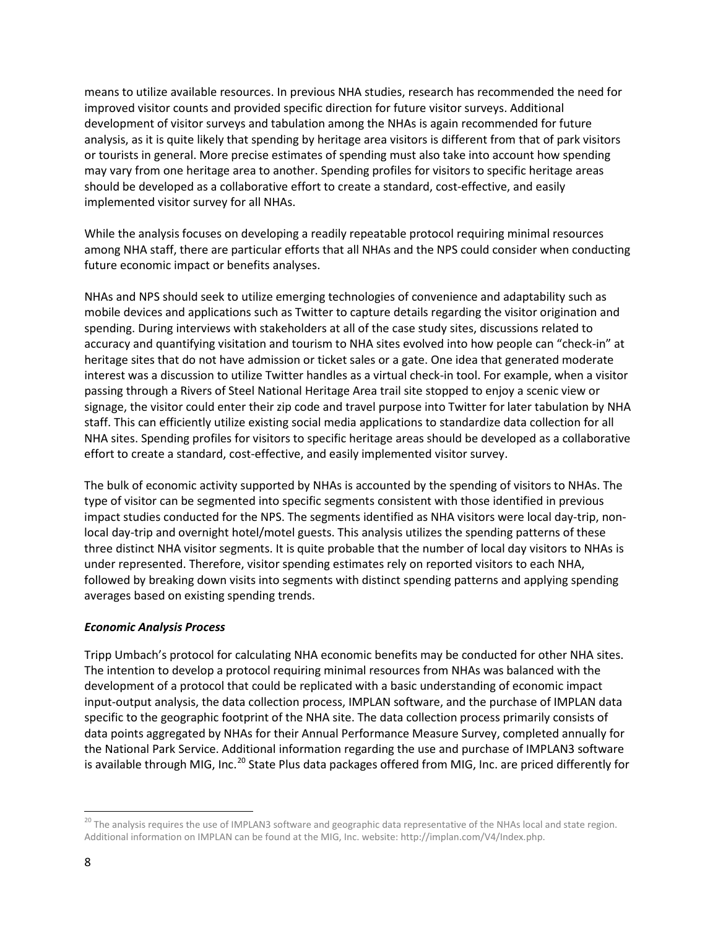means to utilize available resources. In previous NHA studies, research has recommended the need for improved visitor counts and provided specific direction for future visitor surveys. Additional development of visitor surveys and tabulation among the NHAs is again recommended for future analysis, as it is quite likely that spending by heritage area visitors is different from that of park visitors or tourists in general. More precise estimates of spending must also take into account how spending may vary from one heritage area to another. Spending profiles for visitors to specific heritage areas should be developed as a collaborative effort to create a standard, cost-effective, and easily implemented visitor survey for all NHAs.

While the analysis focuses on developing a readily repeatable protocol requiring minimal resources among NHA staff, there are particular efforts that all NHAs and the NPS could consider when conducting future economic impact or benefits analyses.

NHAs and NPS should seek to utilize emerging technologies of convenience and adaptability such as mobile devices and applications such as Twitter to capture details regarding the visitor origination and spending. During interviews with stakeholders at all of the case study sites, discussions related to accuracy and quantifying visitation and tourism to NHA sites evolved into how people can "check-in" at heritage sites that do not have admission or ticket sales or a gate. One idea that generated moderate interest was a discussion to utilize Twitter handles as a virtual check-in tool. For example, when a visitor passing through a Rivers of Steel National Heritage Area trail site stopped to enjoy a scenic view or signage, the visitor could enter their zip code and travel purpose into Twitter for later tabulation by NHA staff. This can efficiently utilize existing social media applications to standardize data collection for all NHA sites. Spending profiles for visitors to specific heritage areas should be developed as a collaborative effort to create a standard, cost-effective, and easily implemented visitor survey.

The bulk of economic activity supported by NHAs is accounted by the spending of visitors to NHAs. The type of visitor can be segmented into specific segments consistent with those identified in previous impact studies conducted for the NPS. The segments identified as NHA visitors were local day-trip, nonlocal day-trip and overnight hotel/motel guests. This analysis utilizes the spending patterns of these three distinct NHA visitor segments. It is quite probable that the number of local day visitors to NHAs is under represented. Therefore, visitor spending estimates rely on reported visitors to each NHA, followed by breaking down visits into segments with distinct spending patterns and applying spending averages based on existing spending trends.

#### *Economic Analysis Process*

Tripp Umbach's protocol for calculating NHA economic benefits may be conducted for other NHA sites. The intention to develop a protocol requiring minimal resources from NHAs was balanced with the development of a protocol that could be replicated with a basic understanding of economic impact input-output analysis, the data collection process, IMPLAN software, and the purchase of IMPLAN data specific to the geographic footprint of the NHA site. The data collection process primarily consists of data points aggregated by NHAs for their Annual Performance Measure Survey, completed annually for the National Park Service. Additional information regarding the use and purchase of IMPLAN3 software is available through MIG, Inc.<sup>[20](#page-8-0)</sup> State Plus data packages offered from MIG, Inc. are priced differently for

<span id="page-8-0"></span><sup>&</sup>lt;sup>20</sup> The analysis requires the use of IMPLAN3 software and geographic data representative of the NHAs local and state region. Additional information on IMPLAN can be found at the MIG, Inc. website: [http://implan.com/V4/Index.php.](http://implan.com/V4/Index.php)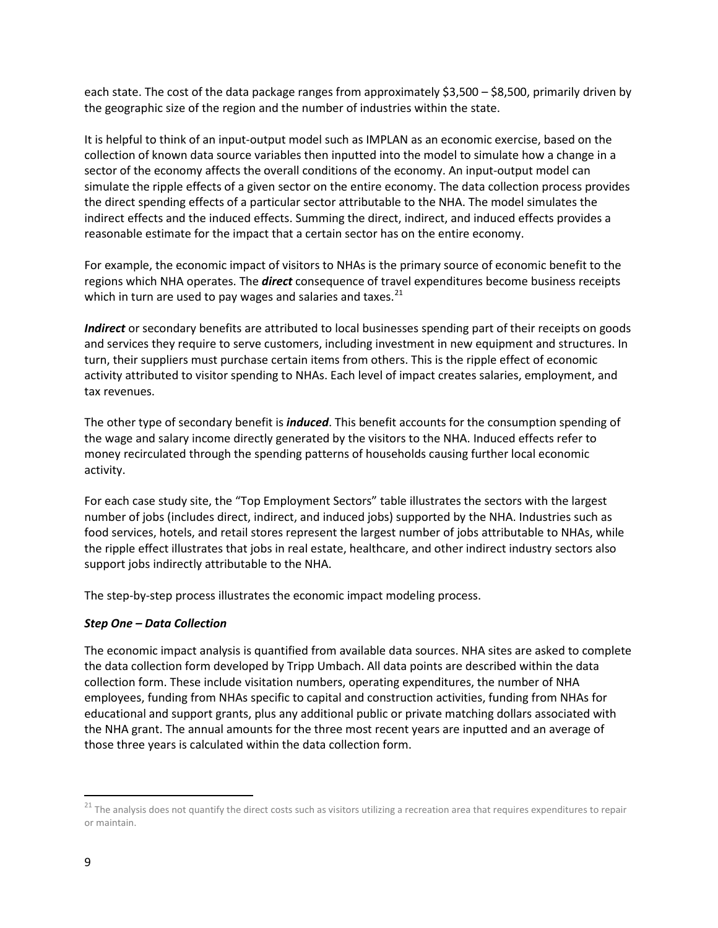each state. The cost of the data package ranges from approximately \$3,500 – \$8,500, primarily driven by the geographic size of the region and the number of industries within the state.

It is helpful to think of an input-output model such as IMPLAN as an economic exercise, based on the collection of known data source variables then inputted into the model to simulate how a change in a sector of the economy affects the overall conditions of the economy. An input-output model can simulate the ripple effects of a given sector on the entire economy. The data collection process provides the direct spending effects of a particular sector attributable to the NHA. The model simulates the indirect effects and the induced effects. Summing the direct, indirect, and induced effects provides a reasonable estimate for the impact that a certain sector has on the entire economy.

For example, the economic impact of visitors to NHAs is the primary source of economic benefit to the regions which NHA operates. The *direct* consequence of travel expenditures become business receipts which in turn are used to pay wages and salaries and taxes.<sup>[21](#page-9-0)</sup>

*Indirect* or secondary benefits are attributed to local businesses spending part of their receipts on goods and services they require to serve customers, including investment in new equipment and structures. In turn, their suppliers must purchase certain items from others. This is the ripple effect of economic activity attributed to visitor spending to NHAs. Each level of impact creates salaries, employment, and tax revenues.

The other type of secondary benefit is *induced*. This benefit accounts for the consumption spending of the wage and salary income directly generated by the visitors to the NHA. Induced effects refer to money recirculated through the spending patterns of households causing further local economic activity.

For each case study site, the "Top Employment Sectors" table illustrates the sectors with the largest number of jobs (includes direct, indirect, and induced jobs) supported by the NHA. Industries such as food services, hotels, and retail stores represent the largest number of jobs attributable to NHAs, while the ripple effect illustrates that jobs in real estate, healthcare, and other indirect industry sectors also support jobs indirectly attributable to the NHA.

The step-by-step process illustrates the economic impact modeling process.

#### *Step One – Data Collection*

The economic impact analysis is quantified from available data sources. NHA sites are asked to complete the data collection form developed by Tripp Umbach. All data points are described within the data collection form. These include visitation numbers, operating expenditures, the number of NHA employees, funding from NHAs specific to capital and construction activities, funding from NHAs for educational and support grants, plus any additional public or private matching dollars associated with the NHA grant. The annual amounts for the three most recent years are inputted and an average of those three years is calculated within the data collection form.

<span id="page-9-0"></span><sup>&</sup>lt;sup>21</sup> The analysis does not quantify the direct costs such as visitors utilizing a recreation area that requires expenditures to repair or maintain.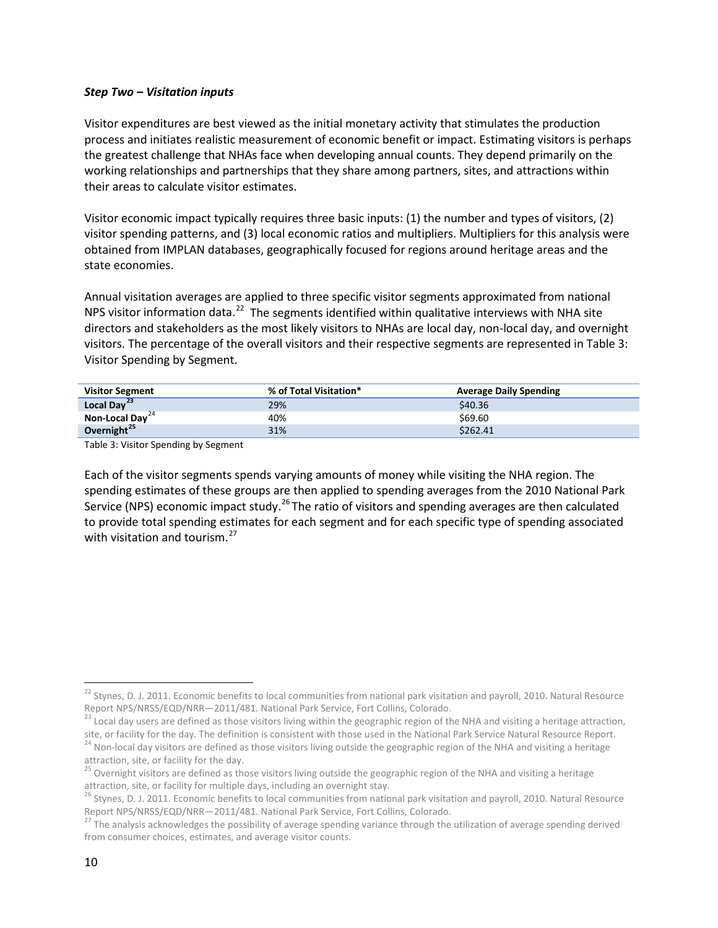#### *Step Two – Visitation inputs*

Visitor expenditures are best viewed as the initial monetary activity that stimulates the production process and initiates realistic measurement of economic benefit or impact. Estimating visitors is perhaps the greatest challenge that NHAs face when developing annual counts. They depend primarily on the working relationships and partnerships that they share among partners, sites, and attractions within their areas to calculate visitor estimates.

Visitor economic impact typically requires three basic inputs: (1) the number and types of visitors, (2) visitor spending patterns, and (3) local economic ratios and multipliers. Multipliers for this analysis were obtained from IMPLAN databases, geographically focused for regions around heritage areas and the state economies.

Annual visitation averages are applied to three specific visitor segments approximated from national NPS visitor information data.<sup>[22](#page-10-1)</sup> The segments identified within qualitative interviews with NHA site directors and stakeholders as the most likely visitors to NHAs are local day, non-local day, and overnight visitors. The percentage of the overall visitors and their respective segments are represented in Table 3: Visitor Spending by Segment.

| <b>Visitor Segment</b>      | % of Total Visitation* | <b>Average Daily Spending</b> |
|-----------------------------|------------------------|-------------------------------|
| Local Day <sup>23</sup>     | 29%                    | \$40.36                       |
| Non-Local Day <sup>24</sup> | 40%                    | \$69.60                       |
| Overnight <sup>25</sup>     | 31%                    | \$262.41                      |

<span id="page-10-0"></span>Table 3: Visitor Spending by Segment

Each of the visitor segments spends varying amounts of money while visiting the NHA region. The spending estimates of these groups are then applied to spending averages from the 2010 National Park Service (NPS) economic impact study.<sup>[26](#page-10-5)</sup> The ratio of visitors and spending averages are then calculated to provide total spending estimates for each segment and for each specific type of spending associated with visitation and tourism.<sup>[27](#page-10-6)</sup>

<span id="page-10-1"></span><sup>&</sup>lt;sup>22</sup> Stynes, D. J. 2011. Economic benefits to local communities from national park visitation and payroll, 2010. Natural Resource<br>Report NPS/NRSS/EQD/NRR—2011/481. National Park Service, Fort Collins, Colorado.

<span id="page-10-2"></span><sup>&</sup>lt;sup>23</sup> Local day users are defined as those visitors living within the geographic region of the NHA and visiting a heritage attraction,

<span id="page-10-3"></span>site, or facility for the day. The definition is consistent with those used in the National Park Service Natural Resource Report.<br><sup>24</sup> Non-local day visitors are defined as those visitors living outside the geographic regi attraction, site, or facility for the day.

<span id="page-10-4"></span> $25$  Overnight visitors are defined as those visitors living outside the geographic region of the NHA and visiting a heritage attraction, site, or facility for multiple days, including an overnight stay.

<span id="page-10-5"></span><sup>&</sup>lt;sup>26</sup> Stynes, D. J. 2011. Economic benefits to local communities from national park visitation and payroll, 2010. Natural Resource<br>Report NPS/NRSS/EQD/NRR—2011/481. National Park Service, Fort Collins, Colorado.

<span id="page-10-6"></span><sup>&</sup>lt;sup>27</sup> The analysis acknowledges the possibility of average spending variance through the utilization of average spending derived from consumer choices, estimates, and average visitor counts.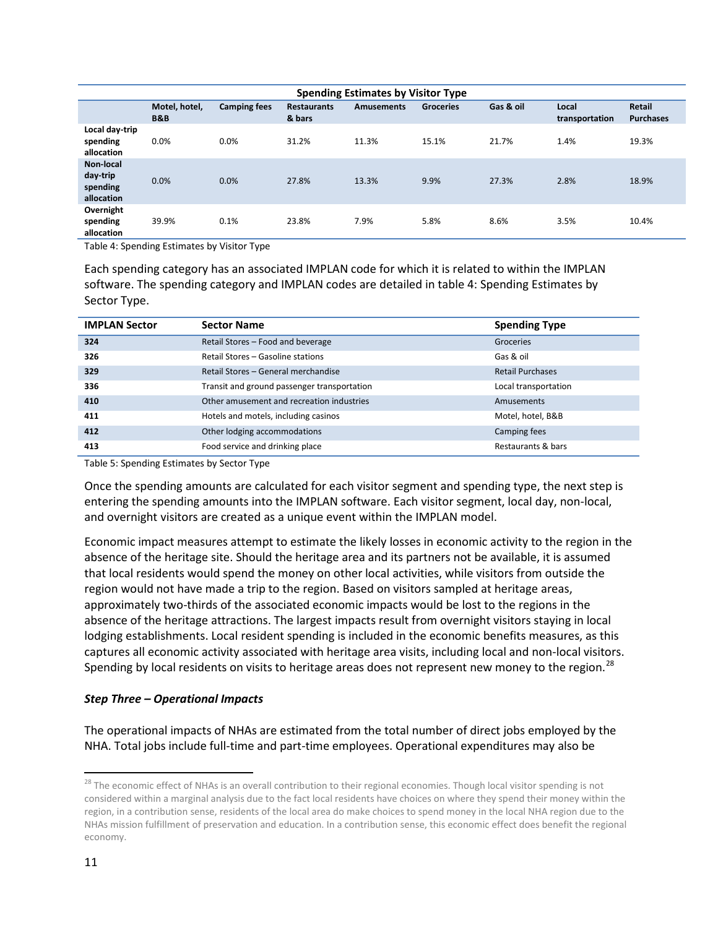| <b>Spending Estimates by Visitor Type</b>       |                                 |                     |                              |                   |                  |           |                         |                            |
|-------------------------------------------------|---------------------------------|---------------------|------------------------------|-------------------|------------------|-----------|-------------------------|----------------------------|
|                                                 | Motel, hotel,<br><b>B&amp;B</b> | <b>Camping fees</b> | <b>Restaurants</b><br>& bars | <b>Amusements</b> | <b>Groceries</b> | Gas & oil | Local<br>transportation | Retail<br><b>Purchases</b> |
| Local day-trip<br>spending<br>allocation        | 0.0%                            | 0.0%                | 31.2%                        | 11.3%             | 15.1%            | 21.7%     | 1.4%                    | 19.3%                      |
| Non-local<br>day-trip<br>spending<br>allocation | 0.0%                            | 0.0%                | 27.8%                        | 13.3%             | 9.9%             | 27.3%     | 2.8%                    | 18.9%                      |
| Overnight<br>spending<br>allocation             | 39.9%                           | 0.1%                | 23.8%                        | 7.9%              | 5.8%             | 8.6%      | 3.5%                    | 10.4%                      |

<span id="page-11-0"></span>Table 4: Spending Estimates by Visitor Type

Each spending category has an associated IMPLAN code for which it is related to within the IMPLAN software. The spending category and IMPLAN codes are detailed in table 4: Spending Estimates by Sector Type.

| <b>IMPLAN Sector</b> | <b>Sector Name</b>                          | <b>Spending Type</b>    |
|----------------------|---------------------------------------------|-------------------------|
| 324                  | Retail Stores - Food and beverage           | Groceries               |
| 326                  | Retail Stores - Gasoline stations           | Gas & oil               |
| 329                  | Retail Stores - General merchandise         | <b>Retail Purchases</b> |
| 336                  | Transit and ground passenger transportation | Local transportation    |
| 410                  | Other amusement and recreation industries   | Amusements              |
| 411                  | Hotels and motels, including casinos        | Motel, hotel, B&B       |
| 412                  | Other lodging accommodations                | Camping fees            |
| 413                  | Food service and drinking place             | Restaurants & bars      |

<span id="page-11-1"></span>Table 5: Spending Estimates by Sector Type

Once the spending amounts are calculated for each visitor segment and spending type, the next step is entering the spending amounts into the IMPLAN software. Each visitor segment, local day, non-local, and overnight visitors are created as a unique event within the IMPLAN model.

Economic impact measures attempt to estimate the likely losses in economic activity to the region in the absence of the heritage site. Should the heritage area and its partners not be available, it is assumed that local residents would spend the money on other local activities, while visitors from outside the region would not have made a trip to the region. Based on visitors sampled at heritage areas, approximately two-thirds of the associated economic impacts would be lost to the regions in the absence of the heritage attractions. The largest impacts result from overnight visitors staying in local lodging establishments. Local resident spending is included in the economic benefits measures, as this captures all economic activity associated with heritage area visits, including local and non-local visitors. Spending by local residents on visits to heritage areas does not represent new money to the region.<sup>[28](#page-11-2)</sup>

#### *Step Three – Operational Impacts*

The operational impacts of NHAs are estimated from the total number of direct jobs employed by the NHA. Total jobs include full-time and part-time employees. Operational expenditures may also be

<span id="page-11-2"></span><sup>&</sup>lt;sup>28</sup> The economic effect of NHAs is an overall contribution to their regional economies. Though local visitor spending is not considered within a marginal analysis due to the fact local residents have choices on where they spend their money within the region, in a contribution sense, residents of the local area do make choices to spend money in the local NHA region due to the NHAs mission fulfillment of preservation and education. In a contribution sense, this economic effect does benefit the regional economy.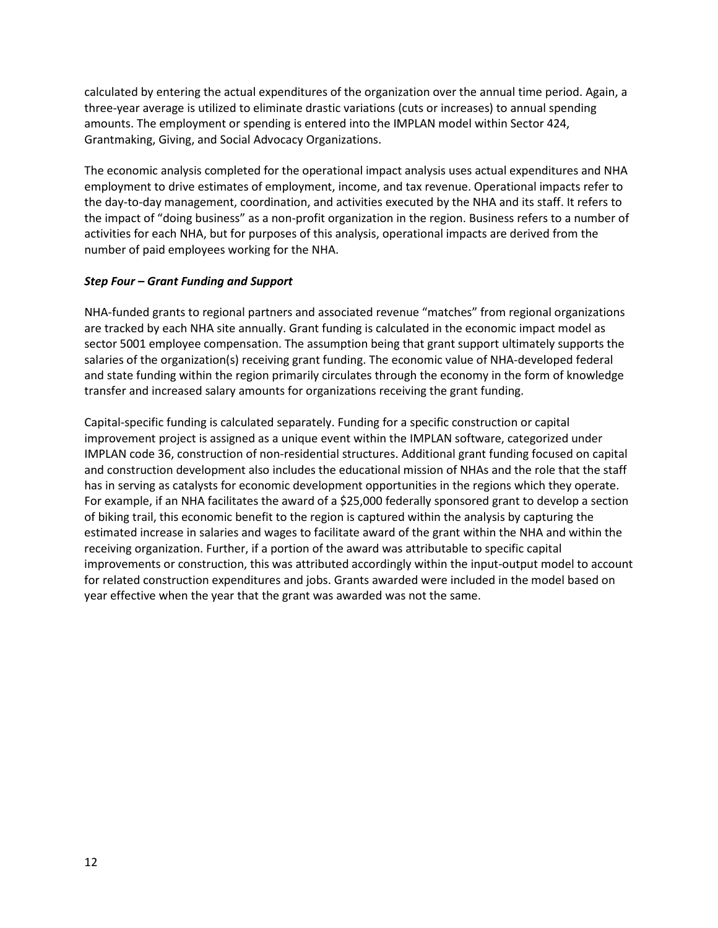calculated by entering the actual expenditures of the organization over the annual time period. Again, a three-year average is utilized to eliminate drastic variations (cuts or increases) to annual spending amounts. The employment or spending is entered into the IMPLAN model within Sector 424, Grantmaking, Giving, and Social Advocacy Organizations.

The economic analysis completed for the operational impact analysis uses actual expenditures and NHA employment to drive estimates of employment, income, and tax revenue. Operational impacts refer to the day-to-day management, coordination, and activities executed by the NHA and its staff. It refers to the impact of "doing business" as a non-profit organization in the region. Business refers to a number of activities for each NHA, but for purposes of this analysis, operational impacts are derived from the number of paid employees working for the NHA.

#### *Step Four – Grant Funding and Support*

NHA-funded grants to regional partners and associated revenue "matches" from regional organizations are tracked by each NHA site annually. Grant funding is calculated in the economic impact model as sector 5001 employee compensation. The assumption being that grant support ultimately supports the salaries of the organization(s) receiving grant funding. The economic value of NHA-developed federal and state funding within the region primarily circulates through the economy in the form of knowledge transfer and increased salary amounts for organizations receiving the grant funding.

Capital-specific funding is calculated separately. Funding for a specific construction or capital improvement project is assigned as a unique event within the IMPLAN software, categorized under IMPLAN code 36, construction of non-residential structures. Additional grant funding focused on capital and construction development also includes the educational mission of NHAs and the role that the staff has in serving as catalysts for economic development opportunities in the regions which they operate. For example, if an NHA facilitates the award of a \$25,000 federally sponsored grant to develop a section of biking trail, this economic benefit to the region is captured within the analysis by capturing the estimated increase in salaries and wages to facilitate award of the grant within the NHA and within the receiving organization. Further, if a portion of the award was attributable to specific capital improvements or construction, this was attributed accordingly within the input-output model to account for related construction expenditures and jobs. Grants awarded were included in the model based on year effective when the year that the grant was awarded was not the same.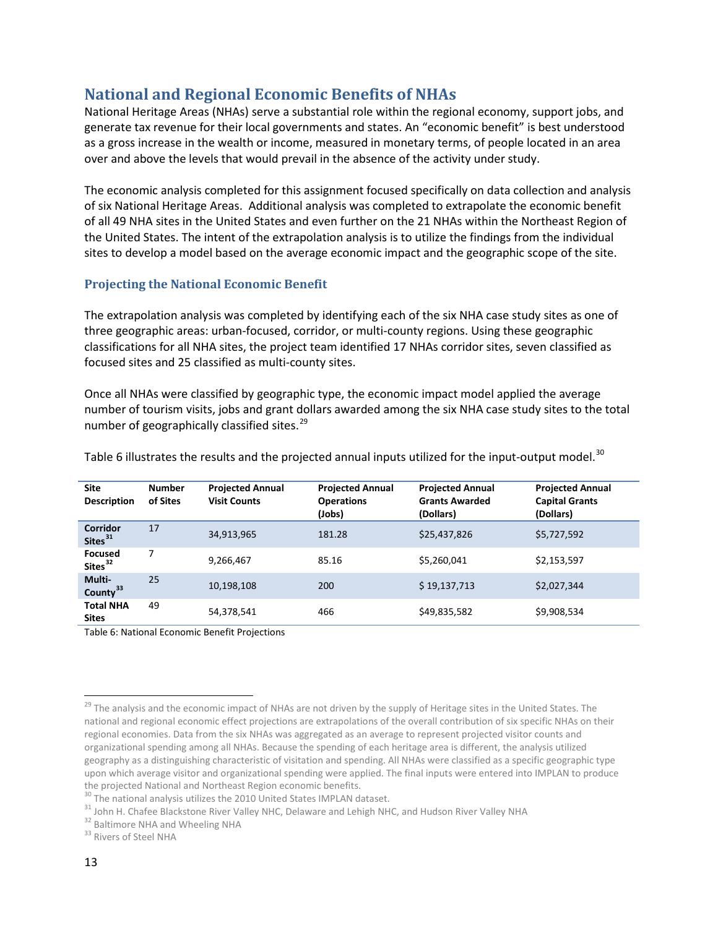# <span id="page-13-0"></span>**National and Regional Economic Benefits of NHAs**

National Heritage Areas (NHAs) serve a substantial role within the regional economy, support jobs, and generate tax revenue for their local governments and states. An "economic benefit" is best understood as a gross increase in the wealth or income, measured in monetary terms, of people located in an area over and above the levels that would prevail in the absence of the activity under study.

The economic analysis completed for this assignment focused specifically on data collection and analysis of six National Heritage Areas. Additional analysis was completed to extrapolate the economic benefit of all 49 NHA sites in the United States and even further on the 21 NHAs within the Northeast Region of the United States. The intent of the extrapolation analysis is to utilize the findings from the individual sites to develop a model based on the average economic impact and the geographic scope of the site.

## **Projecting the National Economic Benefit**

The extrapolation analysis was completed by identifying each of the six NHA case study sites as one of three geographic areas: urban-focused, corridor, or multi-county regions. Using these geographic classifications for all NHA sites, the project team identified 17 NHAs corridor sites, seven classified as focused sites and 25 classified as multi-county sites.

Once all NHAs were classified by geographic type, the economic impact model applied the average number of tourism visits, jobs and grant dollars awarded among the six NHA case study sites to the total number of geographically classified sites.<sup>[29](#page-13-2)</sup>

| <b>Site</b><br><b>Description</b>     | <b>Number</b><br>of Sites | <b>Projected Annual</b><br><b>Visit Counts</b> | <b>Projected Annual</b><br><b>Operations</b><br>(Jobs) | <b>Projected Annual</b><br><b>Grants Awarded</b><br>(Dollars) | <b>Projected Annual</b><br><b>Capital Grants</b><br>(Dollars) |
|---------------------------------------|---------------------------|------------------------------------------------|--------------------------------------------------------|---------------------------------------------------------------|---------------------------------------------------------------|
| Corridor<br>Sites <sup>31</sup>       | 17                        | 34,913,965                                     | 181.28                                                 | \$25,437,826                                                  | \$5,727,592                                                   |
| <b>Focused</b><br>Sites <sup>32</sup> | 7                         | 9,266,467                                      | 85.16                                                  | \$5,260,041                                                   | \$2,153,597                                                   |
| Multi-<br>County <sup>33</sup>        | 25                        | 10,198,108                                     | 200                                                    | \$19,137,713                                                  | \$2,027,344                                                   |
| <b>Total NHA</b><br><b>Sites</b>      | 49                        | 54,378,541                                     | 466                                                    | \$49,835,582                                                  | \$9,908,534                                                   |

Table 6 illustrates the results and the projected annual inputs utilized for the input-output model.<sup>[30](#page-13-3)</sup>

<span id="page-13-1"></span>Table 6: National Economic Benefit Projections

<span id="page-13-2"></span><sup>&</sup>lt;sup>29</sup> The analysis and the economic impact of NHAs are not driven by the supply of Heritage sites in the United States. The national and regional economic effect projections are extrapolations of the overall contribution of six specific NHAs on their regional economies. Data from the six NHAs was aggregated as an average to represent projected visitor counts and organizational spending among all NHAs. Because the spending of each heritage area is different, the analysis utilized geography as a distinguishing characteristic of visitation and spending. All NHAs were classified as a specific geographic type upon which average visitor and organizational spending were applied. The final inputs were entered into IMPLAN to produce the projected National and Northeast Region economic benefits.<br><sup>30</sup> The national analysis utilizes the 2010 United States IMPLAN dataset.

<span id="page-13-3"></span>

<span id="page-13-5"></span><span id="page-13-4"></span><sup>&</sup>lt;sup>31</sup> John H. Chafee Blackstone River Valley NHC, Delaware and Lehigh NHC, and Hudson River Valley NHA<br><sup>32</sup> Baltimore NHA and Wheeling NHA<br><sup>33</sup> Rivers of Steel NHA

<span id="page-13-6"></span>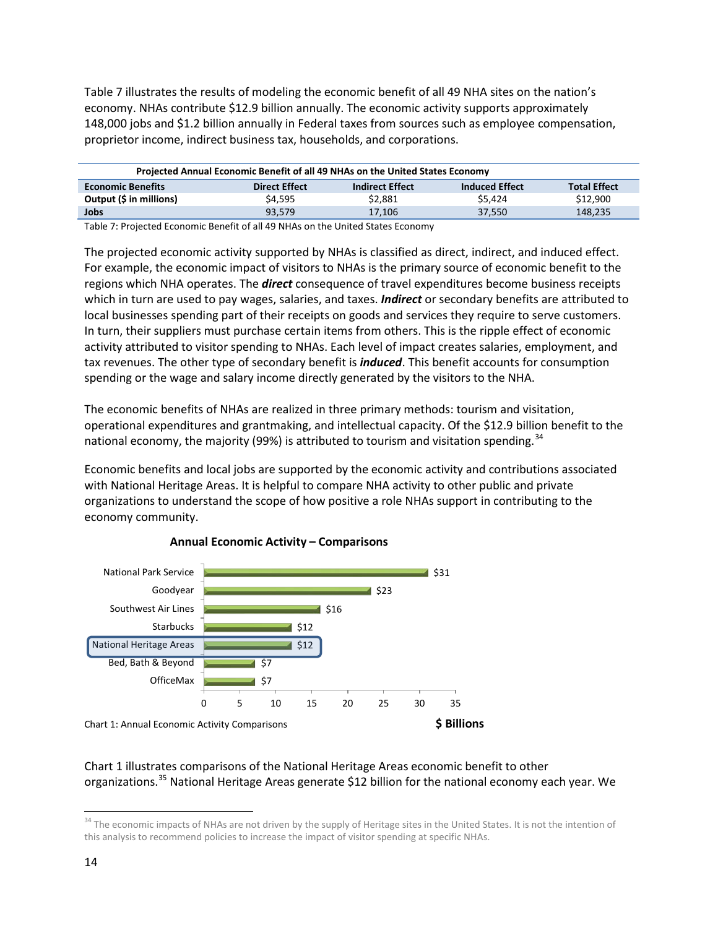Table 7 illustrates the results of modeling the economic benefit of all 49 NHA sites on the nation's economy. NHAs contribute \$12.9 billion annually. The economic activity supports approximately 148,000 jobs and \$1.2 billion annually in Federal taxes from sources such as employee compensation, proprietor income, indirect business tax, households, and corporations.

| Projected Annual Economic Benefit of all 49 NHAs on the United States Economy |                      |                        |                       |                     |  |
|-------------------------------------------------------------------------------|----------------------|------------------------|-----------------------|---------------------|--|
| <b>Economic Benefits</b>                                                      | <b>Direct Effect</b> | <b>Indirect Effect</b> | <b>Induced Effect</b> | <b>Total Effect</b> |  |
| Output (\$ in millions)                                                       | \$4.595              | \$2.881                | \$5.424               | \$12,900            |  |
| <b>Jobs</b>                                                                   | 93.579               | 17.106                 | 37.550                | 148.235             |  |

<span id="page-14-0"></span>Table 7: Projected Economic Benefit of all 49 NHAs on the United States Economy

The projected economic activity supported by NHAs is classified as direct, indirect, and induced effect. For example, the economic impact of visitors to NHAs is the primary source of economic benefit to the regions which NHA operates. The *direct* consequence of travel expenditures become business receipts which in turn are used to pay wages, salaries, and taxes. *Indirect* or secondary benefits are attributed to local businesses spending part of their receipts on goods and services they require to serve customers. In turn, their suppliers must purchase certain items from others. This is the ripple effect of economic activity attributed to visitor spending to NHAs. Each level of impact creates salaries, employment, and tax revenues. The other type of secondary benefit is *induced*. This benefit accounts for consumption spending or the wage and salary income directly generated by the visitors to the NHA.

The economic benefits of NHAs are realized in three primary methods: tourism and visitation, operational expenditures and grantmaking, and intellectual capacity. Of the \$12.9 billion benefit to the national economy, the majority (99%) is attributed to tourism and visitation spending.<sup>[34](#page-14-2)</sup>

Economic benefits and local jobs are supported by the economic activity and contributions associated with National Heritage Areas. It is helpful to compare NHA activity to other public and private organizations to understand the scope of how positive a role NHAs support in contributing to the economy community.



## **Annual Economic Activity – Comparisons**

## <span id="page-14-1"></span>Chart 1 illustrates comparisons of the National Heritage Areas economic benefit to other organizations.<sup>[35](#page-14-3)</sup> National Heritage Areas generate \$12 billion for the national economy each year. We

<span id="page-14-3"></span><span id="page-14-2"></span><sup>&</sup>lt;sup>34</sup> The economic impacts of NHAs are not driven by the supply of Heritage sites in the United States. It is not the intention of this analysis to recommend policies to increase the impact of visitor spending at specific NHAs.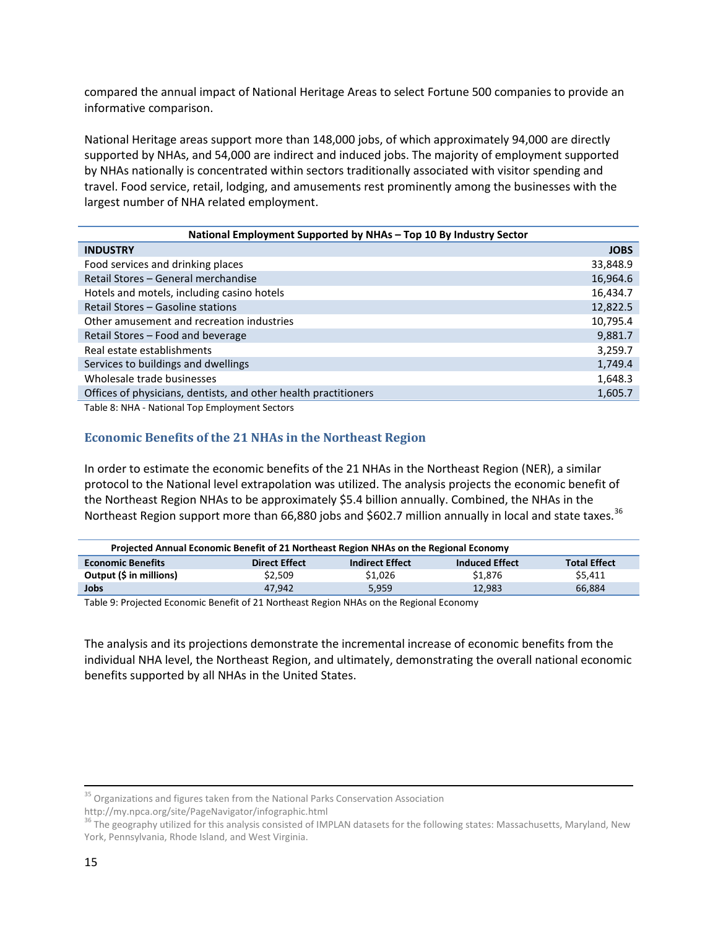compared the annual impact of National Heritage Areas to select Fortune 500 companies to provide an informative comparison.

National Heritage areas support more than 148,000 jobs, of which approximately 94,000 are directly supported by NHAs, and 54,000 are indirect and induced jobs. The majority of employment supported by NHAs nationally is concentrated within sectors traditionally associated with visitor spending and travel. Food service, retail, lodging, and amusements rest prominently among the businesses with the largest number of NHA related employment.

| National Employment Supported by NHAs - Top 10 By Industry Sector |             |  |  |  |
|-------------------------------------------------------------------|-------------|--|--|--|
| <b>INDUSTRY</b>                                                   | <b>JOBS</b> |  |  |  |
| Food services and drinking places                                 | 33,848.9    |  |  |  |
| Retail Stores - General merchandise                               | 16,964.6    |  |  |  |
| Hotels and motels, including casino hotels                        | 16,434.7    |  |  |  |
| Retail Stores – Gasoline stations                                 | 12,822.5    |  |  |  |
| Other amusement and recreation industries                         | 10,795.4    |  |  |  |
| Retail Stores - Food and beverage                                 | 9,881.7     |  |  |  |
| Real estate establishments                                        | 3,259.7     |  |  |  |
| Services to buildings and dwellings                               | 1,749.4     |  |  |  |
| Wholesale trade businesses                                        | 1,648.3     |  |  |  |
| Offices of physicians, dentists, and other health practitioners   | 1,605.7     |  |  |  |
|                                                                   |             |  |  |  |

<span id="page-15-0"></span>Table 8: NHA - National Top Employment Sectors

## **Economic Benefits of the 21 NHAs in the Northeast Region**

In order to estimate the economic benefits of the 21 NHAs in the Northeast Region (NER), a similar protocol to the National level extrapolation was utilized. The analysis projects the economic benefit of the Northeast Region NHAs to be approximately \$5.4 billion annually. Combined, the NHAs in the Northeast Region support more than 66,880 jobs and \$602.7 million annually in local and state taxes.<sup>[36](#page-15-2)</sup>

| Projected Annual Economic Benefit of 21 Northeast Region NHAs on the Regional Economy |                      |                        |                       |                     |  |
|---------------------------------------------------------------------------------------|----------------------|------------------------|-----------------------|---------------------|--|
| <b>Economic Benefits</b>                                                              | <b>Direct Effect</b> | <b>Indirect Effect</b> | <b>Induced Effect</b> | <b>Total Effect</b> |  |
| Output (\$ in millions)                                                               | \$2.509              | \$1.026                | \$1.876               | S5.411              |  |
| <b>Jobs</b>                                                                           | 47.942               | 5.959                  | 12.983                | 66.884              |  |

<span id="page-15-1"></span>Table 9: Projected Economic Benefit of 21 Northeast Region NHAs on the Regional Economy

The analysis and its projections demonstrate the incremental increase of economic benefits from the individual NHA level, the Northeast Region, and ultimately, demonstrating the overall national economic benefits supported by all NHAs in the United States.

http://my.npca.org/site/PageNavigator/infographic.html

<sup>&</sup>lt;sup>35</sup> Organizations and figures taken from the National Parks Conservation Association

<span id="page-15-2"></span><sup>&</sup>lt;sup>36</sup> The geography utilized for this analysis consisted of IMPLAN datasets for the following states: Massachusetts, Maryland, New York, Pennsylvania, Rhode Island, and West Virginia.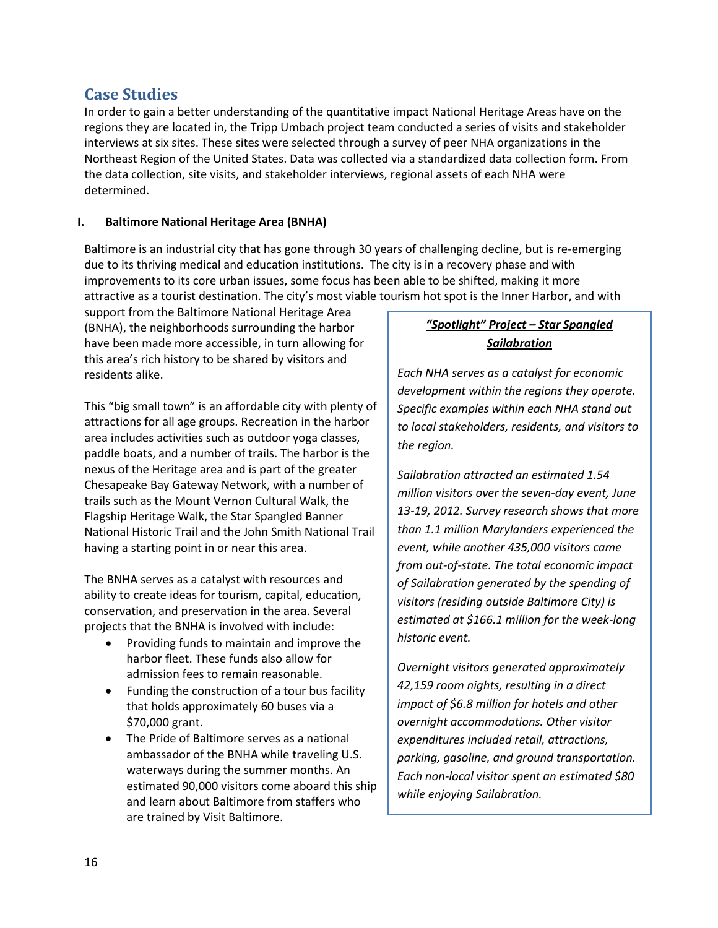# <span id="page-16-0"></span>**Case Studies**

In order to gain a better understanding of the quantitative impact National Heritage Areas have on the regions they are located in, the Tripp Umbach project team conducted a series of visits and stakeholder interviews at six sites. These sites were selected through a survey of peer NHA organizations in the Northeast Region of the United States. Data was collected via a standardized data collection form. From the data collection, site visits, and stakeholder interviews, regional assets of each NHA were determined.

## <span id="page-16-1"></span>**I. Baltimore National Heritage Area (BNHA)**

Baltimore is an industrial city that has gone through 30 years of challenging decline, but is re-emerging due to its thriving medical and education institutions. The city is in a recovery phase and with improvements to its core urban issues, some focus has been able to be shifted, making it more attractive as a tourist destination. The city's most viable tourism hot spot is the Inner Harbor, and with

support from the Baltimore National Heritage Area (BNHA), the neighborhoods surrounding the harbor have been made more accessible, in turn allowing for this area's rich history to be shared by visitors and residents alike.

This "big small town" is an affordable city with plenty of attractions for all age groups. Recreation in the harbor area includes activities such as outdoor yoga classes, paddle boats, and a number of trails. The harbor is the nexus of the Heritage area and is part of the greater Chesapeake Bay Gateway Network, with a number of trails such as the Mount Vernon Cultural Walk, the Flagship Heritage Walk, the Star Spangled Banner National Historic Trail and the John Smith National Trail having a starting point in or near this area.

The BNHA serves as a catalyst with resources and ability to create ideas for tourism, capital, education, conservation, and preservation in the area. Several projects that the BNHA is involved with include:

- Providing funds to maintain and improve the harbor fleet. These funds also allow for admission fees to remain reasonable.
- Funding the construction of a tour bus facility that holds approximately 60 buses via a \$70,000 grant.
- The Pride of Baltimore serves as a national ambassador of the BNHA while traveling U.S. waterways during the summer months. An estimated 90,000 visitors come aboard this ship and learn about Baltimore from staffers who are trained by Visit Baltimore.

# *"Spotlight" Project – Star Spangled Sailabration*

*Each NHA serves as a catalyst for economic development within the regions they operate. Specific examples within each NHA stand out to local stakeholders, residents, and visitors to the region.* 

*Sailabration attracted an estimated 1.54 million visitors over the seven-day event, June 13-19, 2012. Survey research shows that more than 1.1 million Marylanders experienced the event, while another 435,000 visitors came from out-of-state. The total economic impact of Sailabration generated by the spending of visitors (residing outside Baltimore City) is estimated at \$166.1 million for the week-long historic event.* 

*Overnight visitors generated approximately 42,159 room nights, resulting in a direct impact of \$6.8 million for hotels and other overnight accommodations. Other visitor expenditures included retail, attractions, parking, gasoline, and ground transportation. Each non-local visitor spent an estimated \$80 while enjoying Sailabration.*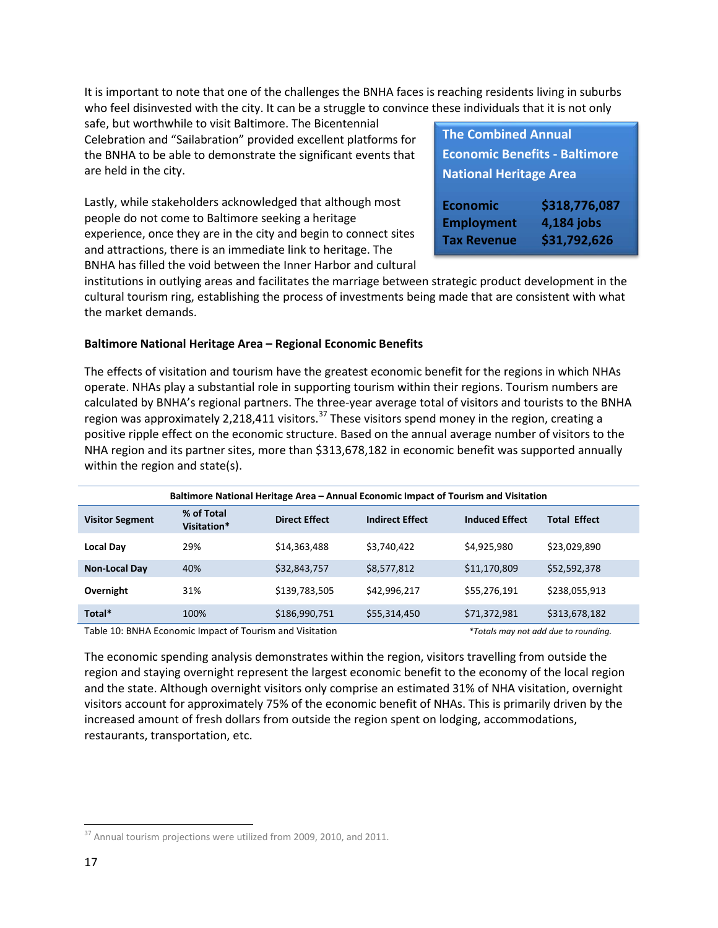It is important to note that one of the challenges the BNHA faces is reaching residents living in suburbs who feel disinvested with the city. It can be a struggle to convince these individuals that it is not only

safe, but worthwhile to visit Baltimore. The Bicentennial Celebration and "Sailabration" provided excellent platforms for the BNHA to be able to demonstrate the significant events that are held in the city.

Lastly, while stakeholders acknowledged that although most people do not come to Baltimore seeking a heritage experience, once they are in the city and begin to connect sites and attractions, there is an immediate link to heritage. The BNHA has filled the void between the Inner Harbor and cultural

| <b>The Combined Annual</b>           |              |  |  |  |  |
|--------------------------------------|--------------|--|--|--|--|
| <b>Economic Benefits - Baltimore</b> |              |  |  |  |  |
| <b>National Heritage Area</b>        |              |  |  |  |  |
|                                      |              |  |  |  |  |
| \$318,776,087<br><b>Economic</b>     |              |  |  |  |  |
| 4,184 jobs<br><b>Employment</b>      |              |  |  |  |  |
| <b>Tax Revenue</b>                   | \$31,792,626 |  |  |  |  |

institutions in outlying areas and facilitates the marriage between strategic product development in the cultural tourism ring, establishing the process of investments being made that are consistent with what the market demands.

#### **Baltimore National Heritage Area – Regional Economic Benefits**

The effects of visitation and tourism have the greatest economic benefit for the regions in which NHAs operate. NHAs play a substantial role in supporting tourism within their regions. Tourism numbers are calculated by BNHA's regional partners. The three-year average total of visitors and tourists to the BNHA region was approximately 2,218,411 visitors.<sup>[37](#page-17-1)</sup> These visitors spend money in the region, creating a positive ripple effect on the economic structure. Based on the annual average number of visitors to the NHA region and its partner sites, more than \$313,678,182 in economic benefit was supported annually within the region and state(s).

| Baltimore National Heritage Area - Annual Economic Impact of Tourism and Visitation |                           |                      |                        |                       |                     |  |
|-------------------------------------------------------------------------------------|---------------------------|----------------------|------------------------|-----------------------|---------------------|--|
| <b>Visitor Segment</b>                                                              | % of Total<br>Visitation* | <b>Direct Effect</b> | <b>Indirect Effect</b> | <b>Induced Effect</b> | <b>Total Effect</b> |  |
| Local Day                                                                           | 29%                       | \$14,363,488         | \$3,740,422            | \$4,925,980           | \$23,029,890        |  |
| <b>Non-Local Day</b>                                                                | 40%                       | \$32,843,757         | \$8,577,812            | \$11,170,809          | \$52,592,378        |  |
| Overnight                                                                           | 31%                       | \$139,783,505        | \$42,996,217           | \$55,276,191          | \$238,055,913       |  |
| Total*                                                                              | 100%                      | \$186,990,751        | \$55,314,450           | \$71,372,981          | \$313,678,182       |  |

<span id="page-17-0"></span>Table 10: BNHA Economic Impact of Tourism and Visitation *\*Totals may not add due to rounding.* 

The economic spending analysis demonstrates within the region, visitors travelling from outside the region and staying overnight represent the largest economic benefit to the economy of the local region and the state. Although overnight visitors only comprise an estimated 31% of NHA visitation, overnight visitors account for approximately 75% of the economic benefit of NHAs. This is primarily driven by the increased amount of fresh dollars from outside the region spent on lodging, accommodations, restaurants, transportation, etc.

<span id="page-17-1"></span><sup>&</sup>lt;sup>37</sup> Annual tourism projections were utilized from 2009, 2010, and 2011.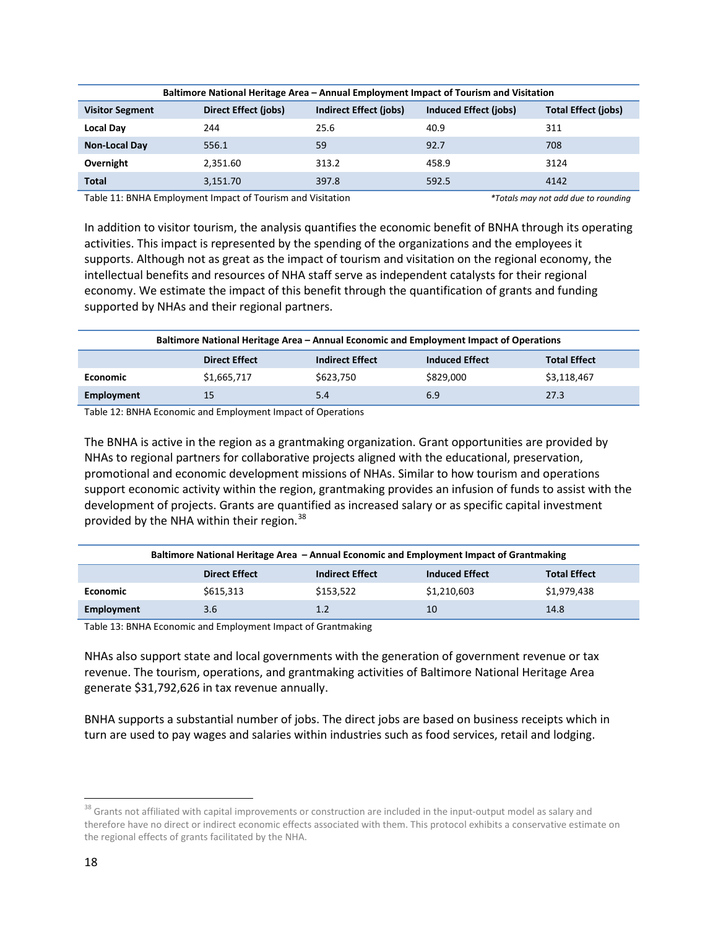|                        | Baltimore National Heritage Area – Annual Employment Impact of Tourism and Visitation |                        |                       |                            |  |  |  |
|------------------------|---------------------------------------------------------------------------------------|------------------------|-----------------------|----------------------------|--|--|--|
| <b>Visitor Segment</b> | Direct Effect (jobs)                                                                  | Indirect Effect (jobs) | Induced Effect (jobs) | <b>Total Effect (jobs)</b> |  |  |  |
| <b>Local Day</b>       | 244                                                                                   | 25.6                   | 40.9                  | 311                        |  |  |  |
| <b>Non-Local Day</b>   | 556.1                                                                                 | 59                     | 92.7                  | 708                        |  |  |  |
| Overnight              | 2.351.60                                                                              | 313.2                  | 458.9                 | 3124                       |  |  |  |
| <b>Total</b>           | 3,151.70                                                                              | 397.8                  | 592.5                 | 4142                       |  |  |  |

<span id="page-18-0"></span>Table 11: BNHA Employment Impact of Tourism and Visitation *\*Totals may not add due to rounding*

In addition to visitor tourism, the analysis quantifies the economic benefit of BNHA through its operating activities. This impact is represented by the spending of the organizations and the employees it supports. Although not as great as the impact of tourism and visitation on the regional economy, the intellectual benefits and resources of NHA staff serve as independent catalysts for their regional economy. We estimate the impact of this benefit through the quantification of grants and funding supported by NHAs and their regional partners.

|                 | Baltimore National Heritage Area – Annual Economic and Employment Impact of Operations |                        |                       |                     |  |  |
|-----------------|----------------------------------------------------------------------------------------|------------------------|-----------------------|---------------------|--|--|
|                 | <b>Direct Effect</b>                                                                   | <b>Indirect Effect</b> | <b>Induced Effect</b> | <b>Total Effect</b> |  |  |
| <b>Economic</b> | \$1,665,717                                                                            | \$623,750              | \$829,000             | \$3,118,467         |  |  |
| Employment      |                                                                                        | 5.4                    | 6.9                   | 27.3                |  |  |

<span id="page-18-1"></span>Table 12: BNHA Economic and Employment Impact of Operations

The BNHA is active in the region as a grantmaking organization. Grant opportunities are provided by NHAs to regional partners for collaborative projects aligned with the educational, preservation, promotional and economic development missions of NHAs. Similar to how tourism and operations support economic activity within the region, grantmaking provides an infusion of funds to assist with the development of projects. Grants are quantified as increased salary or as specific capital investment provided by the NHA within their region.<sup>[38](#page-18-3)</sup>

|                 | Baltimore National Heritage Area – Annual Economic and Employment Impact of Grantmaking |                        |                       |                     |  |  |
|-----------------|-----------------------------------------------------------------------------------------|------------------------|-----------------------|---------------------|--|--|
|                 | <b>Direct Effect</b>                                                                    | <b>Indirect Effect</b> | <b>Induced Effect</b> | <b>Total Effect</b> |  |  |
| <b>Economic</b> | \$615,313                                                                               | \$153,522              | \$1,210,603           | \$1,979,438         |  |  |
| Employment      | 3.6                                                                                     | 1.2                    | 10                    | 14.8                |  |  |

<span id="page-18-2"></span>Table 13: BNHA Economic and Employment Impact of Grantmaking

NHAs also support state and local governments with the generation of government revenue or tax revenue. The tourism, operations, and grantmaking activities of Baltimore National Heritage Area generate \$31,792,626 in tax revenue annually.

BNHA supports a substantial number of jobs. The direct jobs are based on business receipts which in turn are used to pay wages and salaries within industries such as food services, retail and lodging.

<span id="page-18-3"></span><sup>&</sup>lt;sup>38</sup> Grants not affiliated with capital improvements or construction are included in the input-output model as salary and therefore have no direct or indirect economic effects associated with them. This protocol exhibits a conservative estimate on the regional effects of grants facilitated by the NHA.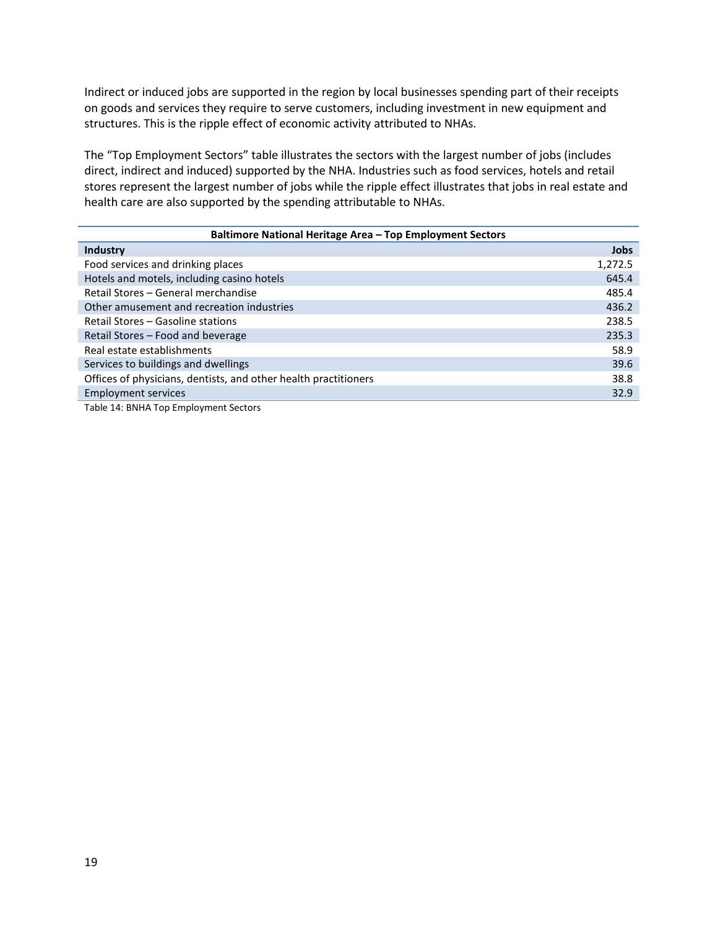Indirect or induced jobs are supported in the region by local businesses spending part of their receipts on goods and services they require to serve customers, including investment in new equipment and structures. This is the ripple effect of economic activity attributed to NHAs.

The "Top Employment Sectors" table illustrates the sectors with the largest number of jobs (includes direct, indirect and induced) supported by the NHA. Industries such as food services, hotels and retail stores represent the largest number of jobs while the ripple effect illustrates that jobs in real estate and health care are also supported by the spending attributable to NHAs.

| Baltimore National Heritage Area - Top Employment Sectors       |             |  |  |  |
|-----------------------------------------------------------------|-------------|--|--|--|
| Industry                                                        | <b>Jobs</b> |  |  |  |
| Food services and drinking places                               | 1,272.5     |  |  |  |
| Hotels and motels, including casino hotels                      | 645.4       |  |  |  |
| Retail Stores - General merchandise                             | 485.4       |  |  |  |
| Other amusement and recreation industries                       | 436.2       |  |  |  |
| Retail Stores – Gasoline stations                               | 238.5       |  |  |  |
| Retail Stores - Food and beverage                               | 235.3       |  |  |  |
| Real estate establishments                                      | 58.9        |  |  |  |
| Services to buildings and dwellings                             | 39.6        |  |  |  |
| Offices of physicians, dentists, and other health practitioners | 38.8        |  |  |  |
| <b>Employment services</b>                                      | 32.9        |  |  |  |
|                                                                 |             |  |  |  |

<span id="page-19-0"></span>Table 14: BNHA Top Employment Sectors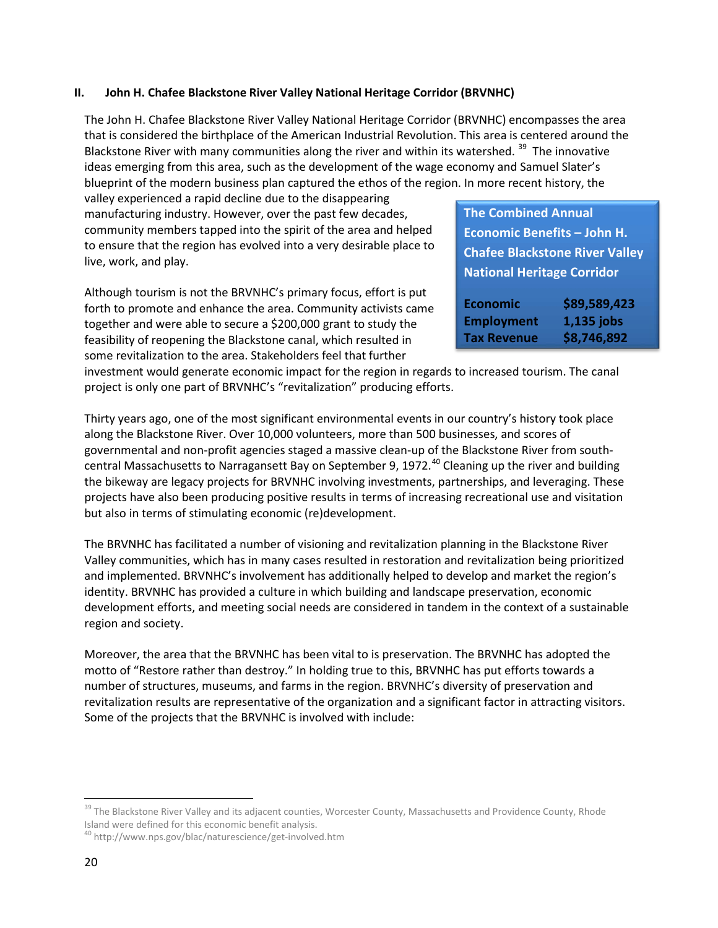#### <span id="page-20-0"></span>**II. John H. Chafee Blackstone River Valley National Heritage Corridor (BRVNHC)**

The John H. Chafee Blackstone River Valley National Heritage Corridor (BRVNHC) encompasses the area that is considered the birthplace of the American Industrial Revolution. This area is centered around the Blackstone River with many communities along the river and within its watershed.<sup>[39](#page-20-1)</sup> The innovative ideas emerging from this area, such as the development of the wage economy and Samuel Slater's blueprint of the modern business plan captured the ethos of the region. In more recent history, the

valley experienced a rapid decline due to the disappearing manufacturing industry. However, over the past few decades, community members tapped into the spirit of the area and helped to ensure that the region has evolved into a very desirable place to live, work, and play.

Although tourism is not the BRVNHC's primary focus, effort is put forth to promote and enhance the area. Community activists came together and were able to secure a \$200,000 grant to study the feasibility of reopening the Blackstone canal, which resulted in some revitalization to the area. Stakeholders feel that further

**The Combined Annual Economic Benefits – John H. Chafee Blackstone River Valley National Heritage Corridor**

| <b>Economic</b>    | \$89,589,423 |
|--------------------|--------------|
| <b>Employment</b>  | 1,135 jobs   |
| <b>Tax Revenue</b> | \$8,746,892  |

investment would generate economic impact for the region in regards to increased tourism. The canal project is only one part of BRVNHC's "revitalization" producing efforts.

Thirty years ago, one of the most significant environmental events in our country's history took place along the Blackstone River. Over 10,000 volunteers, more than 500 businesses, and scores of governmental and non-profit agencies staged a massive clean-up of the Blackstone River from south-central Massachusetts to Narragansett Bay on September 9, 1972.<sup>[40](#page-20-2)</sup> Cleaning up the river and building the bikeway are legacy projects for BRVNHC involving investments, partnerships, and leveraging. These projects have also been producing positive results in terms of increasing recreational use and visitation but also in terms of stimulating economic (re)development.

The BRVNHC has facilitated a number of visioning and revitalization planning in the Blackstone River Valley communities, which has in many cases resulted in restoration and revitalization being prioritized and implemented. BRVNHC's involvement has additionally helped to develop and market the region's identity. BRVNHC has provided a culture in which building and landscape preservation, economic development efforts, and meeting social needs are considered in tandem in the context of a sustainable region and society.

Moreover, the area that the BRVNHC has been vital to is preservation. The BRVNHC has adopted the motto of "Restore rather than destroy." In holding true to this, BRVNHC has put efforts towards a number of structures, museums, and farms in the region. BRVNHC's diversity of preservation and revitalization results are representative of the organization and a significant factor in attracting visitors. Some of the projects that the BRVNHC is involved with include:

<span id="page-20-1"></span><sup>&</sup>lt;sup>39</sup> The Blackstone River Valley and its adjacent counties, Worcester County, Massachusetts and Providence County, Rhode Island were defined for this economic benefit analysis.

<span id="page-20-2"></span><sup>&</sup>lt;sup>40</sup> http://www.nps.gov/blac/naturescience/get-involved.htm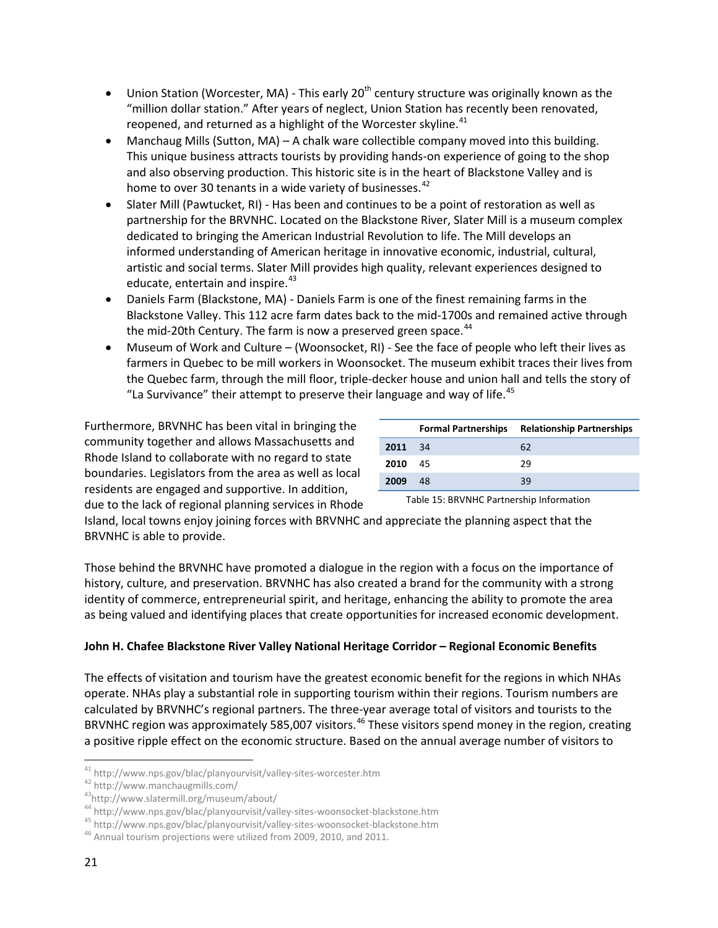- Union Station (Worcester, MA) This early 20<sup>th</sup> century structure was originally known as the "million dollar station." After years of neglect, Union Station has recently been renovated, reopened, and returned as a highlight of the Worcester skyline.<sup>[41](#page-21-0)</sup>
- Manchaug Mills (Sutton, MA) A chalk ware collectible company moved into this building. This unique business attracts tourists by providing hands-on experience of going to the shop and also observing production. This historic site is in the heart of Blackstone Valley and is home to over 30 tenants in a wide variety of businesses.<sup>[42](#page-21-1)</sup>
- Slater Mill (Pawtucket, RI) Has been and continues to be a point of restoration as well as partnership for the BRVNHC. Located on the Blackstone River, Slater Mill is a museum complex dedicated to bringing the American Industrial Revolution to life. The Mill develops an informed understanding of American heritage in innovative economic, industrial, cultural, artistic and social terms. Slater Mill provides high quality, relevant experiences designed to educate, entertain and inspire.<sup>[43](#page-21-2)</sup>
- Daniels Farm (Blackstone, MA) Daniels Farm is one of the finest remaining farms in the Blackstone Valley. This 112 acre farm dates back to the mid-1700s and remained active through the mid-20th Century. The farm is now a preserved green space.<sup>[44](#page-21-3)</sup>
- Museum of Work and Culture (Woonsocket, RI) See the face of people who left their lives as farmers in Quebec to be mill workers in Woonsocket. The museum exhibit traces their lives from the Quebec farm, through the mill floor, triple-decker house and union hall and tells the story of "La Survivance" their attempt to preserve their language and way of life. $45$

Furthermore, BRVNHC has been vital in bringing the community together and allows Massachusetts and Rhode Island to collaborate with no regard to state boundaries. Legislators from the area as well as local residents are engaged and supportive. In addition, due to the lack of regional planning services in Rhode

|         | <b>Formal Partnerships</b> | <b>Relationship Partnerships</b> |
|---------|----------------------------|----------------------------------|
| 2011 34 |                            | 62                               |
| 2010 45 |                            | 29                               |
| 2009    | 48                         | 39                               |

Table 15: BRVNHC Partnership Information

Island, local towns enjoy joining forces with BRVNHC and appreciate the planning aspect that the BRVNHC is able to provide.

Those behind the BRVNHC have promoted a dialogue in the region with a focus on the importance of history, culture, and preservation. BRVNHC has also created a brand for the community with a strong identity of commerce, entrepreneurial spirit, and heritage, enhancing the ability to promote the area as being valued and identifying places that create opportunities for increased economic development.

## **John H. Chafee Blackstone River Valley National Heritage Corridor – Regional Economic Benefits**

The effects of visitation and tourism have the greatest economic benefit for the regions in which NHAs operate. NHAs play a substantial role in supporting tourism within their regions. Tourism numbers are calculated by BRVNHC's regional partners. The three-year average total of visitors and tourists to the BRVNHC region was approximately 585,007 visitors.<sup>[46](#page-21-5)</sup> These visitors spend money in the region, creating a positive ripple effect on the economic structure. Based on the annual average number of visitors to

<span id="page-21-1"></span>

<span id="page-21-2"></span>

<span id="page-21-0"></span><sup>&</sup>lt;sup>41</sup> http://www.nps.gov/blac/planyourvisit/valley-sites-worcester.htm<br><sup>42</sup> http://www.manchaugmills.com/<br><sup>43</sup>http://www.slatermill.org/museum/about/<br><sup>44</sup> http://www.nps.gov/blac/planyourvisit/valley-sites-woonsocket-black

<span id="page-21-4"></span><span id="page-21-3"></span>

<span id="page-21-5"></span>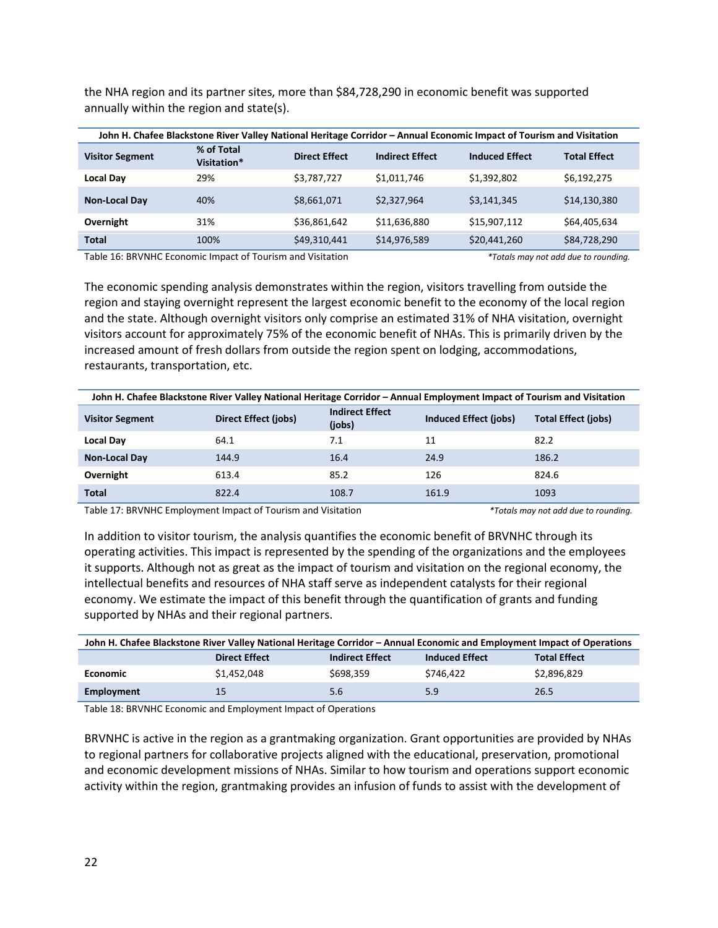the NHA region and its partner sites, more than \$84,728,290 in economic benefit was supported annually within the region and state(s).

| John H. Chafee Blackstone River Valley National Heritage Corridor - Annual Economic Impact of Tourism and Visitation |                           |                      |                        |                       |                     |  |
|----------------------------------------------------------------------------------------------------------------------|---------------------------|----------------------|------------------------|-----------------------|---------------------|--|
| <b>Visitor Segment</b>                                                                                               | % of Total<br>Visitation* | <b>Direct Effect</b> | <b>Indirect Effect</b> | <b>Induced Effect</b> | <b>Total Effect</b> |  |
| <b>Local Day</b>                                                                                                     | 29%                       | \$3,787,727          | \$1,011,746            | \$1,392,802           | \$6,192,275         |  |
| <b>Non-Local Day</b>                                                                                                 | 40%                       | \$8,661,071          | \$2.327.964            | \$3.141.345           | \$14,130,380        |  |
| Overnight                                                                                                            | 31%                       | \$36,861,642         | \$11,636,880           | \$15,907.112          | \$64,405,634        |  |
| <b>Total</b>                                                                                                         | 100%                      | \$49,310,441         | \$14,976,589           | \$20,441,260          | \$84,728,290        |  |

<span id="page-22-0"></span>Table 16: BRVNHC Economic Impact of Tourism and Visitation *\*Totals may not add due to rounding.* 

The economic spending analysis demonstrates within the region, visitors travelling from outside the region and staying overnight represent the largest economic benefit to the economy of the local region and the state. Although overnight visitors only comprise an estimated 31% of NHA visitation, overnight visitors account for approximately 75% of the economic benefit of NHAs. This is primarily driven by the increased amount of fresh dollars from outside the region spent on lodging, accommodations, restaurants, transportation, etc.

| John H. Chafee Blackstone River Valley National Heritage Corridor – Annual Employment Impact of Tourism and Visitation |                             |                                  |                              |                            |  |  |
|------------------------------------------------------------------------------------------------------------------------|-----------------------------|----------------------------------|------------------------------|----------------------------|--|--|
| <b>Visitor Segment</b>                                                                                                 | <b>Direct Effect (jobs)</b> | <b>Indirect Effect</b><br>(jobs) | <b>Induced Effect (jobs)</b> | <b>Total Effect (jobs)</b> |  |  |
| <b>Local Day</b>                                                                                                       | 64.1                        | 7.1                              | 11                           | 82.2                       |  |  |
| <b>Non-Local Day</b>                                                                                                   | 144.9                       | 16.4                             | 24.9                         | 186.2                      |  |  |
| Overnight                                                                                                              | 613.4                       | 85.2                             | 126                          | 824.6                      |  |  |
| <b>Total</b>                                                                                                           | 822.4                       | 108.7                            | 161.9                        | 1093                       |  |  |

<span id="page-22-1"></span>Table 17: BRVNHC Employment Impact of Tourism and Visitation *\*Totals may not add due to rounding.*

In addition to visitor tourism, the analysis quantifies the economic benefit of BRVNHC through its operating activities. This impact is represented by the spending of the organizations and the employees it supports. Although not as great as the impact of tourism and visitation on the regional economy, the intellectual benefits and resources of NHA staff serve as independent catalysts for their regional economy. We estimate the impact of this benefit through the quantification of grants and funding supported by NHAs and their regional partners.

| John H. Chafee Blackstone River Valley National Heritage Corridor - Annual Economic and Employment Impact of Operations |             |           |           |             |  |  |  |
|-------------------------------------------------------------------------------------------------------------------------|-------------|-----------|-----------|-------------|--|--|--|
| <b>Indirect Effect</b><br><b>Total Effect</b><br><b>Direct Effect</b><br><b>Induced Effect</b>                          |             |           |           |             |  |  |  |
| <b>Economic</b>                                                                                                         | \$1,452,048 | \$698,359 | \$746.422 | \$2,896,829 |  |  |  |
| Employment                                                                                                              | 15          | 5.6       | 5.9       | 26.5        |  |  |  |

<span id="page-22-2"></span>Table 18: BRVNHC Economic and Employment Impact of Operations

BRVNHC is active in the region as a grantmaking organization. Grant opportunities are provided by NHAs to regional partners for collaborative projects aligned with the educational, preservation, promotional and economic development missions of NHAs. Similar to how tourism and operations support economic activity within the region, grantmaking provides an infusion of funds to assist with the development of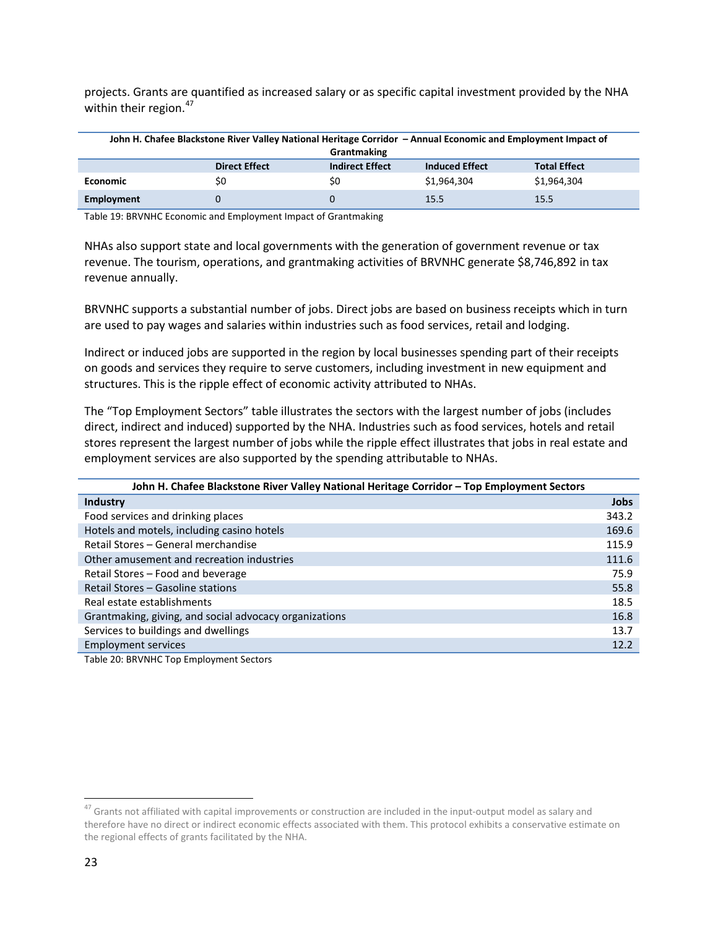projects. Grants are quantified as increased salary or as specific capital investment provided by the NHA within their region.<sup>[47](#page-23-2)</sup>

| John H. Chafee Blackstone River Valley National Heritage Corridor - Annual Economic and Employment Impact of |                      |                        |                       |                     |  |  |  |
|--------------------------------------------------------------------------------------------------------------|----------------------|------------------------|-----------------------|---------------------|--|--|--|
| Grantmaking                                                                                                  |                      |                        |                       |                     |  |  |  |
|                                                                                                              | <b>Direct Effect</b> | <b>Indirect Effect</b> | <b>Induced Effect</b> | <b>Total Effect</b> |  |  |  |
| <b>Economic</b>                                                                                              | \$0                  | \$0                    | \$1,964,304           | \$1,964,304         |  |  |  |
| Employment                                                                                                   |                      |                        | 15.5                  | 15.5                |  |  |  |

<span id="page-23-0"></span>Table 19: BRVNHC Economic and Employment Impact of Grantmaking

NHAs also support state and local governments with the generation of government revenue or tax revenue. The tourism, operations, and grantmaking activities of BRVNHC generate \$8,746,892 in tax revenue annually.

BRVNHC supports a substantial number of jobs. Direct jobs are based on business receipts which in turn are used to pay wages and salaries within industries such as food services, retail and lodging.

Indirect or induced jobs are supported in the region by local businesses spending part of their receipts on goods and services they require to serve customers, including investment in new equipment and structures. This is the ripple effect of economic activity attributed to NHAs.

The "Top Employment Sectors" table illustrates the sectors with the largest number of jobs (includes direct, indirect and induced) supported by the NHA. Industries such as food services, hotels and retail stores represent the largest number of jobs while the ripple effect illustrates that jobs in real estate and employment services are also supported by the spending attributable to NHAs.

| John H. Chafee Blackstone River Valley National Heritage Corridor - Top Employment Sectors |             |  |  |
|--------------------------------------------------------------------------------------------|-------------|--|--|
| Industry                                                                                   | <b>Jobs</b> |  |  |
| Food services and drinking places                                                          | 343.2       |  |  |
| Hotels and motels, including casino hotels                                                 | 169.6       |  |  |
| Retail Stores - General merchandise                                                        | 115.9       |  |  |
| Other amusement and recreation industries                                                  | 111.6       |  |  |
| Retail Stores - Food and beverage                                                          | 75.9        |  |  |
| Retail Stores - Gasoline stations                                                          | 55.8        |  |  |
| Real estate establishments                                                                 | 18.5        |  |  |
| Grantmaking, giving, and social advocacy organizations                                     | 16.8        |  |  |
| Services to buildings and dwellings                                                        | 13.7        |  |  |
| <b>Employment services</b>                                                                 | 12.2        |  |  |

<span id="page-23-1"></span>Table 20: BRVNHC Top Employment Sectors

<span id="page-23-2"></span> $47$  Grants not affiliated with capital improvements or construction are included in the input-output model as salary and therefore have no direct or indirect economic effects associated with them. This protocol exhibits a conservative estimate on the regional effects of grants facilitated by the NHA.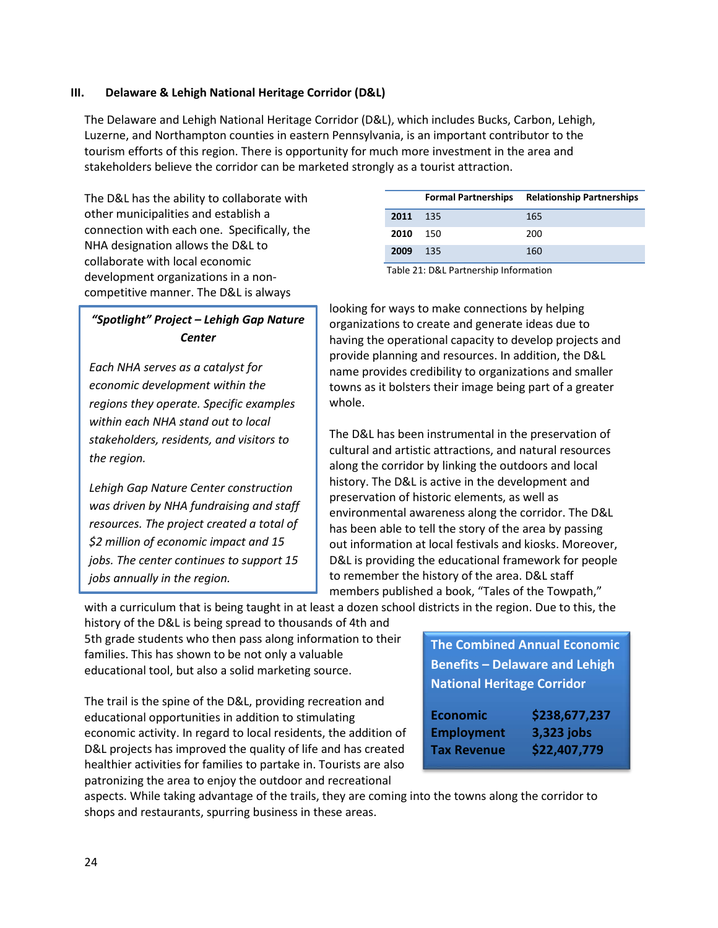#### <span id="page-24-0"></span>**III. Delaware & Lehigh National Heritage Corridor (D&L)**

The Delaware and Lehigh National Heritage Corridor (D&L), which includes Bucks, Carbon, Lehigh, Luzerne, and Northampton counties in eastern Pennsylvania, is an important contributor to the tourism efforts of this region. There is opportunity for much more investment in the area and stakeholders believe the corridor can be marketed strongly as a tourist attraction.

The D&L has the ability to collaborate with other municipalities and establish a connection with each one. Specifically, the NHA designation allows the D&L to collaborate with local economic development organizations in a noncompetitive manner. The D&L is always

|      | <b>Formal Partnerships</b> | <b>Relationship Partnerships</b> |
|------|----------------------------|----------------------------------|
| 2011 | 135                        | 165                              |
| 2010 | 150                        | 200                              |
| 2009 | 135                        | 160                              |
|      |                            |                                  |

Table 21: D&L Partnership Information

# *"Spotlight" Project – Lehigh Gap Nature Center*

*Each NHA serves as a catalyst for economic development within the regions they operate. Specific examples within each NHA stand out to local stakeholders, residents, and visitors to the region.* 

*Lehigh Gap Nature Center construction was driven by NHA fundraising and staff resources. The project created a total of \$2 million of economic impact and 15 jobs. The center continues to support 15 jobs annually in the region.* 

looking for ways to make connections by helping organizations to create and generate ideas due to having the operational capacity to develop projects and provide planning and resources. In addition, the D&L name provides credibility to organizations and smaller towns as it bolsters their image being part of a greater whole.

The D&L has been instrumental in the preservation of cultural and artistic attractions, and natural resources along the corridor by linking the outdoors and local history. The D&L is active in the development and preservation of historic elements, as well as environmental awareness along the corridor. The D&L has been able to tell the story of the area by passing out information at local festivals and kiosks. Moreover, D&L is providing the educational framework for people to remember the history of the area. D&L staff members published a book, "Tales of the Towpath,"

with a curriculum that is being taught in at least a dozen school districts in the region. Due to this, the

history of the D&L is being spread to thousands of 4th and 5th grade students who then pass along information to their families. This has shown to be not only a valuable educational tool, but also a solid marketing source.

The trail is the spine of the D&L, providing recreation and educational opportunities in addition to stimulating economic activity. In regard to local residents, the addition of D&L projects has improved the quality of life and has created healthier activities for families to partake in. Tourists are also patronizing the area to enjoy the outdoor and recreational

**The Combined Annual Economic Benefits – Delaware and Lehigh National Heritage Corridor**

| <b>Economic</b>    | \$238,677,237 |
|--------------------|---------------|
| <b>Employment</b>  | 3,323 jobs    |
| <b>Tax Revenue</b> | \$22,407,779  |

aspects. While taking advantage of the trails, they are coming into the towns along the corridor to shops and restaurants, spurring business in these areas.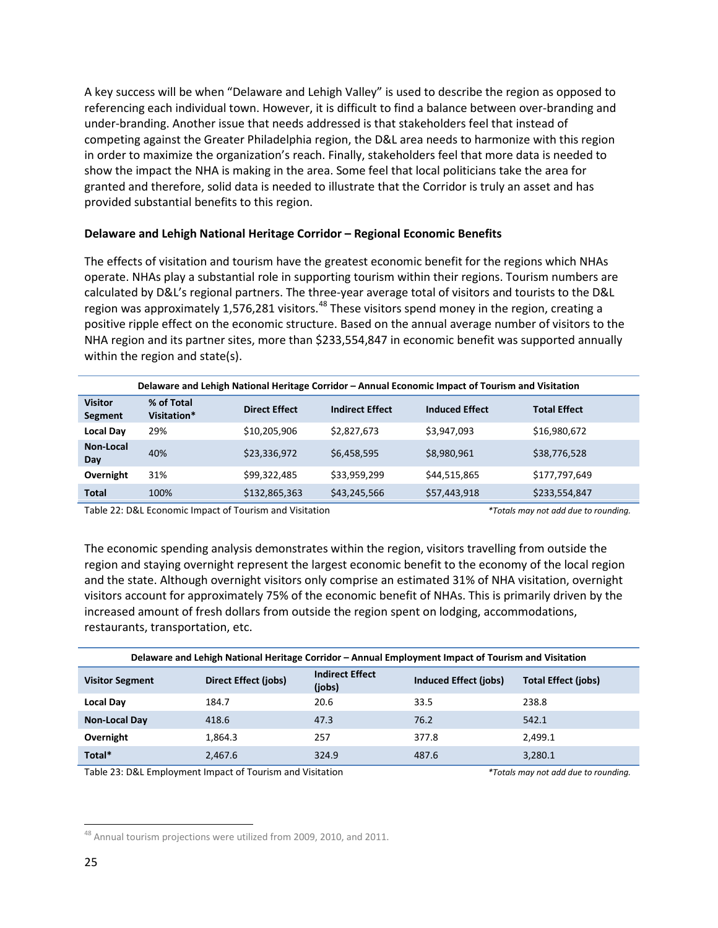A key success will be when "Delaware and Lehigh Valley" is used to describe the region as opposed to referencing each individual town. However, it is difficult to find a balance between over-branding and under-branding. Another issue that needs addressed is that stakeholders feel that instead of competing against the Greater Philadelphia region, the D&L area needs to harmonize with this region in order to maximize the organization's reach. Finally, stakeholders feel that more data is needed to show the impact the NHA is making in the area. Some feel that local politicians take the area for granted and therefore, solid data is needed to illustrate that the Corridor is truly an asset and has provided substantial benefits to this region.

#### **Delaware and Lehigh National Heritage Corridor – Regional Economic Benefits**

The effects of visitation and tourism have the greatest economic benefit for the regions which NHAs operate. NHAs play a substantial role in supporting tourism within their regions. Tourism numbers are calculated by D&L's regional partners. The three-year average total of visitors and tourists to the D&L region was approximately 1,576,281 visitors.<sup>[48](#page-25-2)</sup> These visitors spend money in the region, creating a positive ripple effect on the economic structure. Based on the annual average number of visitors to the NHA region and its partner sites, more than \$233,554,847 in economic benefit was supported annually within the region and state(s).

|                           | Delaware and Lehigh National Heritage Corridor – Annual Economic Impact of Tourism and Visitation |                      |                        |                       |                     |  |
|---------------------------|---------------------------------------------------------------------------------------------------|----------------------|------------------------|-----------------------|---------------------|--|
| <b>Visitor</b><br>Segment | % of Total<br>Visitation*                                                                         | <b>Direct Effect</b> | <b>Indirect Effect</b> | <b>Induced Effect</b> | <b>Total Effect</b> |  |
| <b>Local Day</b>          | 29%                                                                                               | \$10,205,906         | \$2,827,673            | \$3,947,093           | \$16,980,672        |  |
| Non-Local<br>Day          | 40%                                                                                               | \$23,336,972         | \$6,458,595            | \$8,980,961           | \$38,776,528        |  |
| Overnight                 | 31%                                                                                               | \$99,322,485         | \$33,959,299           | \$44,515,865          | \$177,797,649       |  |
| <b>Total</b>              | 100%                                                                                              | \$132,865,363        | \$43,245,566           | \$57,443,918          | \$233,554,847       |  |

<span id="page-25-0"></span>Table 22: D&L Economic Impact of Tourism and Visitation *\*Totals may not add due to rounding.*

The economic spending analysis demonstrates within the region, visitors travelling from outside the region and staying overnight represent the largest economic benefit to the economy of the local region and the state. Although overnight visitors only comprise an estimated 31% of NHA visitation, overnight visitors account for approximately 75% of the economic benefit of NHAs. This is primarily driven by the increased amount of fresh dollars from outside the region spent on lodging, accommodations, restaurants, transportation, etc.

| Delaware and Lehigh National Heritage Corridor – Annual Employment Impact of Tourism and Visitation |                             |                                  |                       |                            |  |
|-----------------------------------------------------------------------------------------------------|-----------------------------|----------------------------------|-----------------------|----------------------------|--|
| <b>Visitor Segment</b>                                                                              | <b>Direct Effect (jobs)</b> | <b>Indirect Effect</b><br>(jobs) | Induced Effect (jobs) | <b>Total Effect (jobs)</b> |  |
| <b>Local Day</b>                                                                                    | 184.7                       | 20.6                             | 33.5                  | 238.8                      |  |
| <b>Non-Local Day</b>                                                                                | 418.6                       | 47.3                             | 76.2                  | 542.1                      |  |
| Overnight                                                                                           | 1.864.3                     | 257                              | 377.8                 | 2.499.1                    |  |
| Total*                                                                                              | 2.467.6                     | 324.9                            | 487.6                 | 3,280.1                    |  |
| .<br>$\cdot$<br>$\frac{1}{2}$ . The set of $\frac{1}{2}$                                            |                             |                                  |                       |                            |  |

<span id="page-25-1"></span>Table 23: D&L Employment Impact of Tourism and Visitation *\*Totals may not add due to rounding.*

<span id="page-25-2"></span><sup>&</sup>lt;sup>48</sup> Annual tourism projections were utilized from 2009, 2010, and 2011.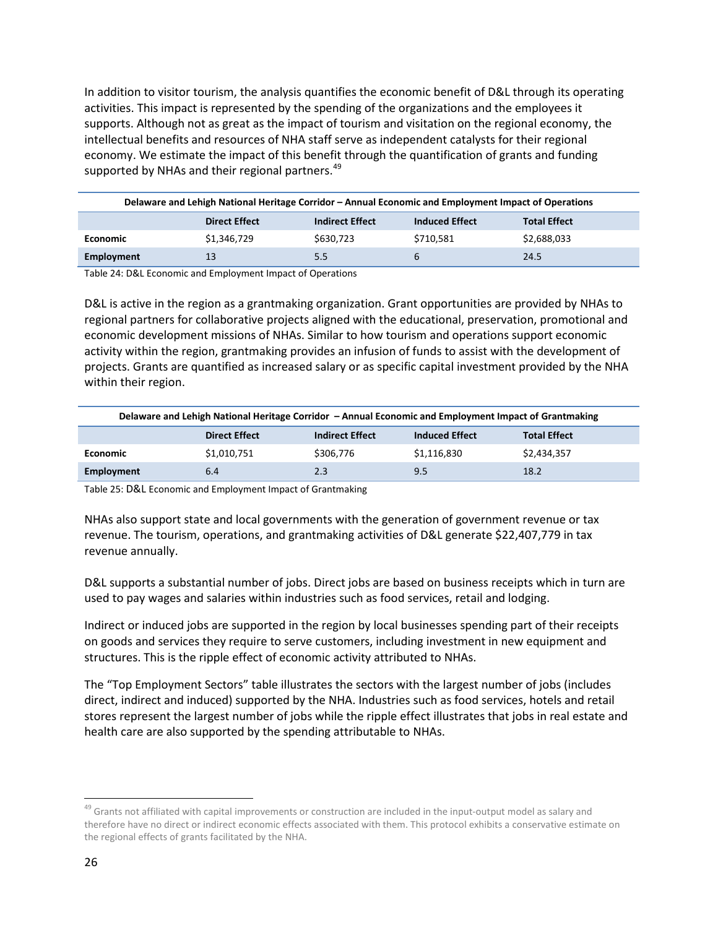In addition to visitor tourism, the analysis quantifies the economic benefit of D&L through its operating activities. This impact is represented by the spending of the organizations and the employees it supports. Although not as great as the impact of tourism and visitation on the regional economy, the intellectual benefits and resources of NHA staff serve as independent catalysts for their regional economy. We estimate the impact of this benefit through the quantification of grants and funding supported by NHAs and their regional partners.<sup>[49](#page-26-2)</sup>

| Delaware and Lehigh National Heritage Corridor – Annual Economic and Employment Impact of Operations |             |           |           |             |  |
|------------------------------------------------------------------------------------------------------|-------------|-----------|-----------|-------------|--|
| <b>Induced Effect</b><br><b>Indirect Effect</b><br><b>Total Effect</b><br><b>Direct Effect</b>       |             |           |           |             |  |
| <b>Economic</b>                                                                                      | \$1,346,729 | \$630,723 | \$710.581 | \$2,688,033 |  |
| Employment                                                                                           | 13          | 5.5       |           | 24.5        |  |

<span id="page-26-0"></span>Table 24: D&L Economic and Employment Impact of Operations

D&L is active in the region as a grantmaking organization. Grant opportunities are provided by NHAs to regional partners for collaborative projects aligned with the educational, preservation, promotional and economic development missions of NHAs. Similar to how tourism and operations support economic activity within the region, grantmaking provides an infusion of funds to assist with the development of projects. Grants are quantified as increased salary or as specific capital investment provided by the NHA within their region.

| Delaware and Lehigh National Heritage Corridor – Annual Economic and Employment Impact of Grantmaking |                                                                                                |           |             |             |  |  |
|-------------------------------------------------------------------------------------------------------|------------------------------------------------------------------------------------------------|-----------|-------------|-------------|--|--|
|                                                                                                       | <b>Induced Effect</b><br><b>Indirect Effect</b><br><b>Total Effect</b><br><b>Direct Effect</b> |           |             |             |  |  |
| <b>Economic</b>                                                                                       | \$1,010,751                                                                                    | \$306,776 | \$1,116,830 | \$2,434,357 |  |  |
| Employment                                                                                            | 6.4                                                                                            | 2.3       | 9.5         | 18.2        |  |  |

<span id="page-26-1"></span>Table 25: D&L Economic and Employment Impact of Grantmaking

NHAs also support state and local governments with the generation of government revenue or tax revenue. The tourism, operations, and grantmaking activities of D&L generate \$22,407,779 in tax revenue annually.

D&L supports a substantial number of jobs. Direct jobs are based on business receipts which in turn are used to pay wages and salaries within industries such as food services, retail and lodging.

Indirect or induced jobs are supported in the region by local businesses spending part of their receipts on goods and services they require to serve customers, including investment in new equipment and structures. This is the ripple effect of economic activity attributed to NHAs.

The "Top Employment Sectors" table illustrates the sectors with the largest number of jobs (includes direct, indirect and induced) supported by the NHA. Industries such as food services, hotels and retail stores represent the largest number of jobs while the ripple effect illustrates that jobs in real estate and health care are also supported by the spending attributable to NHAs.

<span id="page-26-2"></span><sup>&</sup>lt;sup>49</sup> Grants not affiliated with capital improvements or construction are included in the input-output model as salary and therefore have no direct or indirect economic effects associated with them. This protocol exhibits a conservative estimate on the regional effects of grants facilitated by the NHA.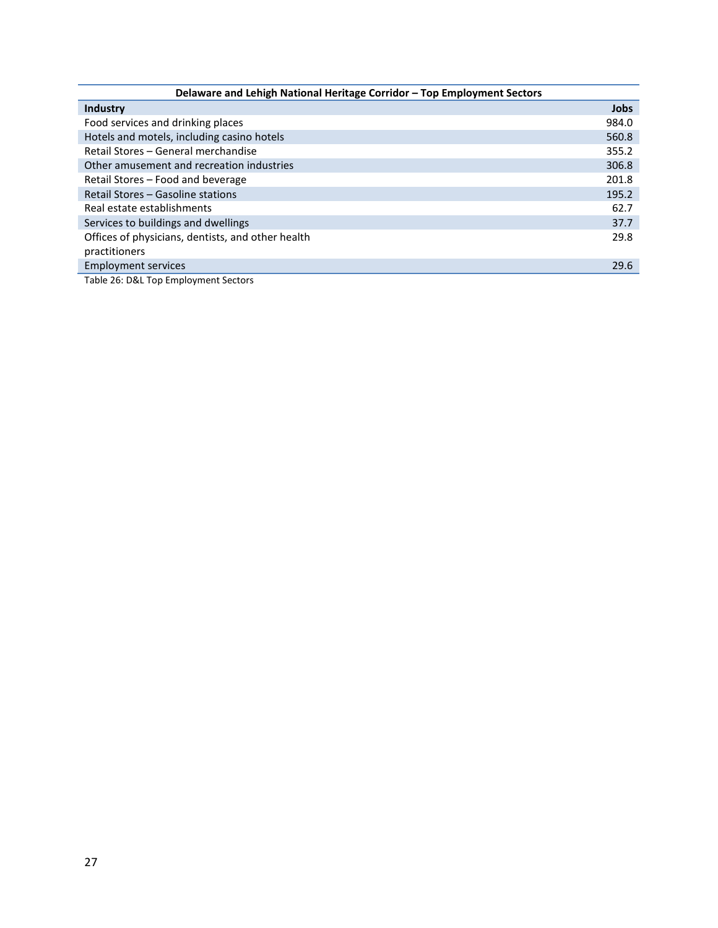| Delaware and Lehigh National Heritage Corridor - Top Employment Sectors |             |  |  |
|-------------------------------------------------------------------------|-------------|--|--|
| <b>Industry</b>                                                         | <b>Jobs</b> |  |  |
| Food services and drinking places                                       | 984.0       |  |  |
| Hotels and motels, including casino hotels                              | 560.8       |  |  |
| Retail Stores - General merchandise                                     | 355.2       |  |  |
| Other amusement and recreation industries                               | 306.8       |  |  |
| Retail Stores - Food and beverage                                       | 201.8       |  |  |
| Retail Stores – Gasoline stations                                       | 195.2       |  |  |
| Real estate establishments                                              | 62.7        |  |  |
| Services to buildings and dwellings                                     | 37.7        |  |  |
| Offices of physicians, dentists, and other health                       | 29.8        |  |  |
| practitioners                                                           |             |  |  |
| <b>Employment services</b>                                              | 29.6        |  |  |
|                                                                         |             |  |  |

<span id="page-27-0"></span>Table 26: D&L Top Employment Sectors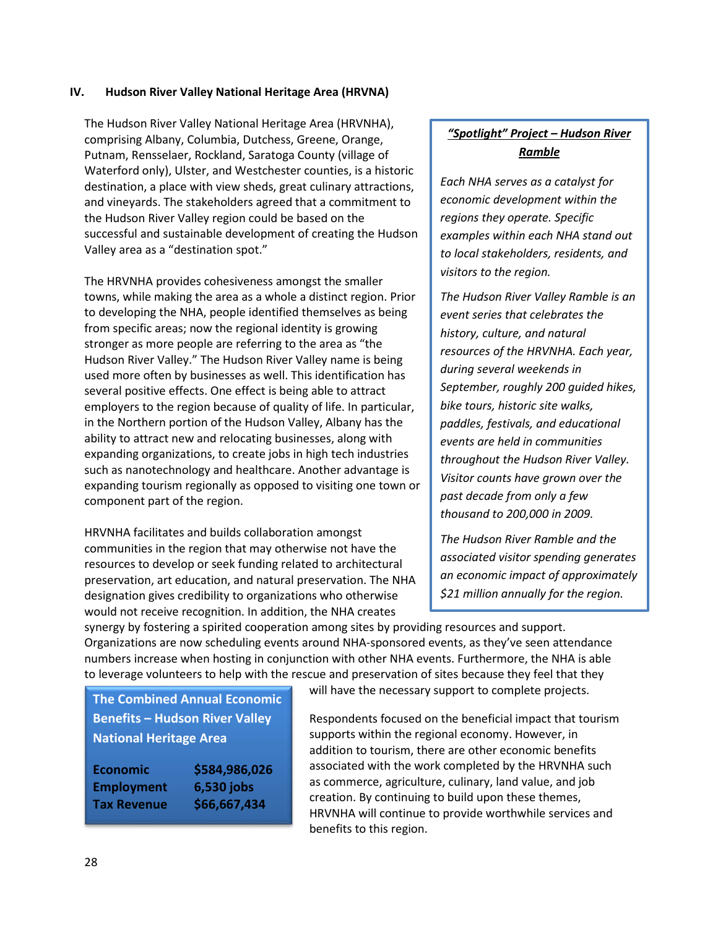#### <span id="page-28-0"></span>**IV. Hudson River Valley National Heritage Area (HRVNA)**

The Hudson River Valley National Heritage Area (HRVNHA), comprising Albany, Columbia, Dutchess, Greene, Orange, Putnam, Rensselaer, Rockland, Saratoga County (village of Waterford only), Ulster, and Westchester counties, is a historic destination, a place with view sheds, great culinary attractions, and vineyards. The stakeholders agreed that a commitment to the Hudson River Valley region could be based on the successful and sustainable development of creating the Hudson Valley area as a "destination spot."

The HRVNHA provides cohesiveness amongst the smaller towns, while making the area as a whole a distinct region. Prior to developing the NHA, people identified themselves as being from specific areas; now the regional identity is growing stronger as more people are referring to the area as "the Hudson River Valley." The Hudson River Valley name is being used more often by businesses as well. This identification has several positive effects. One effect is being able to attract employers to the region because of quality of life. In particular, in the Northern portion of the Hudson Valley, Albany has the ability to attract new and relocating businesses, along with expanding organizations, to create jobs in high tech industries such as nanotechnology and healthcare. Another advantage is expanding tourism regionally as opposed to visiting one town or component part of the region.

HRVNHA facilitates and builds collaboration amongst communities in the region that may otherwise not have the resources to develop or seek funding related to architectural preservation, art education, and natural preservation. The NHA designation gives credibility to organizations who otherwise would not receive recognition. In addition, the NHA creates

> **Economic \$584,986,026 Employment 6,530 jobs Tax Revenue \$66,667,434**

# *"Spotlight" Project – Hudson River Ramble*

*Each NHA serves as a catalyst for economic development within the regions they operate. Specific examples within each NHA stand out to local stakeholders, residents, and visitors to the region.*

*The Hudson River Valley Ramble is an event series that celebrates the history, culture, and natural resources of the HRVNHA. Each year, during several weekends in September, roughly 200 guided hikes, bike tours, historic site walks, paddles, festivals, and educational events are held in communities throughout the Hudson River Valley. Visitor counts have grown over the past decade from only a few thousand to 200,000 in 2009.*

*The Hudson River Ramble and the associated visitor spending generates an economic impact of approximately \$21 million annually for the region.* 

synergy by fostering a spirited cooperation among sites by providing resources and support. Organizations are now scheduling events around NHA-sponsored events, as they've seen attendance numbers increase when hosting in conjunction with other NHA events. Furthermore, the NHA is able to leverage volunteers to help with the rescue and preservation of sites because they feel that they

**The Combined Annual Economic Benefits – Hudson River Valley National Heritage Area**

| Economic           |  |
|--------------------|--|
| <b>Employment</b>  |  |
| <b>Tax Revenue</b> |  |

will have the necessary support to complete projects.

Respondents focused on the beneficial impact that tourism supports within the regional economy. However, in addition to tourism, there are other economic benefits associated with the work completed by the HRVNHA such as commerce, agriculture, culinary, land value, and job creation. By continuing to build upon these themes, HRVNHA will continue to provide worthwhile services and benefits to this region.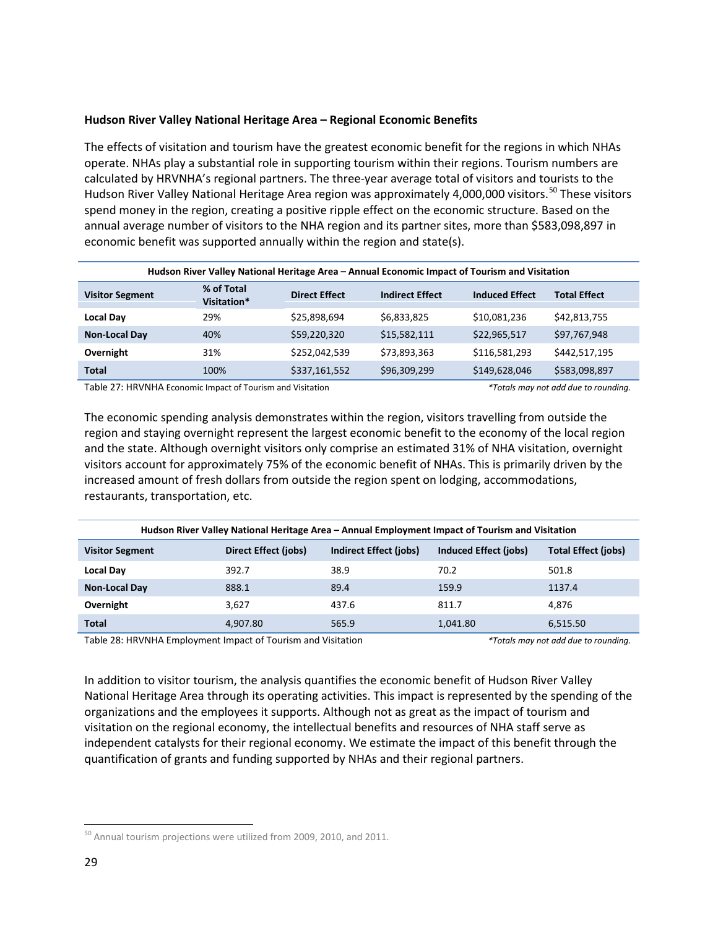#### **Hudson River Valley National Heritage Area – Regional Economic Benefits**

The effects of visitation and tourism have the greatest economic benefit for the regions in which NHAs operate. NHAs play a substantial role in supporting tourism within their regions. Tourism numbers are calculated by HRVNHA's regional partners. The three-year average total of visitors and tourists to the Hudson River Valley National Heritage Area region was approximately 4,000,000 visitors.<sup>[50](#page-29-2)</sup> These visitors spend money in the region, creating a positive ripple effect on the economic structure. Based on the annual average number of visitors to the NHA region and its partner sites, more than \$583,098,897 in economic benefit was supported annually within the region and state(s).

| Hudson River Valley National Heritage Area - Annual Economic Impact of Tourism and Visitation |                           |                      |                        |                       |                     |
|-----------------------------------------------------------------------------------------------|---------------------------|----------------------|------------------------|-----------------------|---------------------|
| <b>Visitor Segment</b>                                                                        | % of Total<br>Visitation* | <b>Direct Effect</b> | <b>Indirect Effect</b> | <b>Induced Effect</b> | <b>Total Effect</b> |
| <b>Local Day</b>                                                                              | 29%                       | \$25,898,694         | \$6,833,825            | \$10,081,236          | \$42,813,755        |
| Non-Local Day                                                                                 | 40%                       | \$59,220,320         | \$15,582,111           | \$22,965,517          | \$97,767,948        |
| Overnight                                                                                     | 31%                       | \$252,042,539        | \$73,893,363           | \$116,581,293         | \$442,517,195       |
| <b>Total</b>                                                                                  | 100%                      | \$337,161,552        | \$96,309,299           | \$149,628,046         | \$583,098,897       |

<span id="page-29-0"></span>Table 27: HRVNHA Economic Impact of Tourism and Visitation *\*Totals may not add due to rounding.* 

The economic spending analysis demonstrates within the region, visitors travelling from outside the region and staying overnight represent the largest economic benefit to the economy of the local region and the state. Although overnight visitors only comprise an estimated 31% of NHA visitation, overnight visitors account for approximately 75% of the economic benefit of NHAs. This is primarily driven by the increased amount of fresh dollars from outside the region spent on lodging, accommodations, restaurants, transportation, etc.

| Hudson River Valley National Heritage Area – Annual Employment Impact of Tourism and Visitation |                      |                        |                       |                            |
|-------------------------------------------------------------------------------------------------|----------------------|------------------------|-----------------------|----------------------------|
| <b>Visitor Segment</b>                                                                          | Direct Effect (jobs) | Indirect Effect (jobs) | Induced Effect (jobs) | <b>Total Effect (jobs)</b> |
| Local Day                                                                                       | 392.7                | 38.9                   | 70.2                  | 501.8                      |
| <b>Non-Local Day</b>                                                                            | 888.1                | 89.4                   | 159.9                 | 1137.4                     |
| Overnight                                                                                       | 3,627                | 437.6                  | 811.7                 | 4.876                      |
| Total                                                                                           | 4,907.80             | 565.9                  | 1,041.80              | 6,515.50                   |

<span id="page-29-1"></span>Table 28: HRVNHA Employment Impact of Tourism and Visitation *\*Totals may not add due to rounding.* 

In addition to visitor tourism, the analysis quantifies the economic benefit of Hudson River Valley National Heritage Area through its operating activities. This impact is represented by the spending of the organizations and the employees it supports. Although not as great as the impact of tourism and visitation on the regional economy, the intellectual benefits and resources of NHA staff serve as independent catalysts for their regional economy. We estimate the impact of this benefit through the quantification of grants and funding supported by NHAs and their regional partners.

<span id="page-29-2"></span><sup>&</sup>lt;sup>50</sup> Annual tourism projections were utilized from 2009, 2010, and 2011.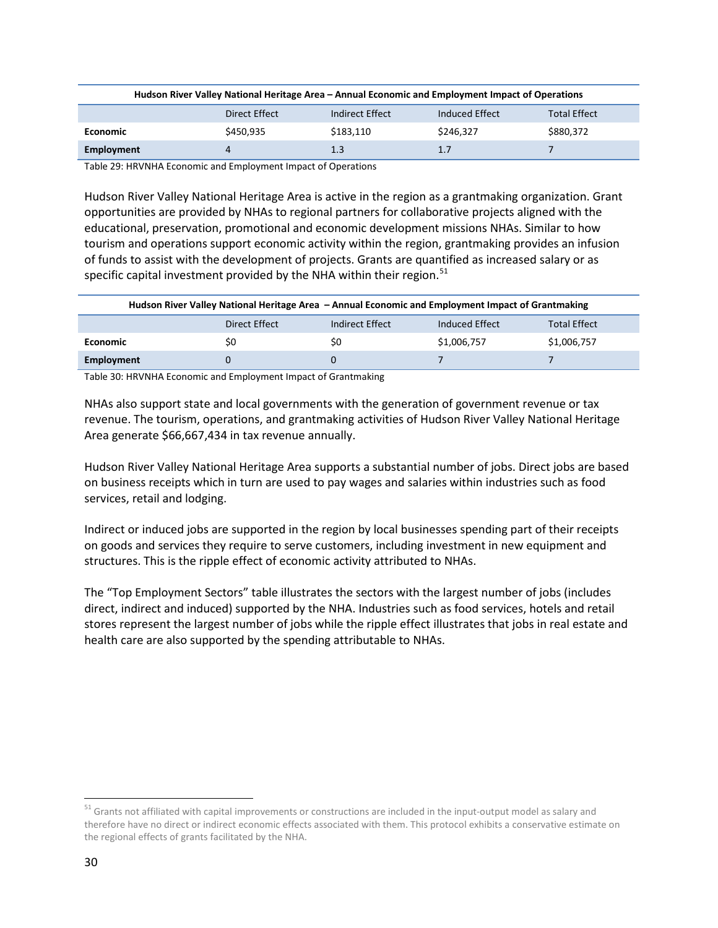| Hudson River Valley National Heritage Area – Annual Economic and Employment Impact of Operations |           |           |           |           |  |  |
|--------------------------------------------------------------------------------------------------|-----------|-----------|-----------|-----------|--|--|
| <b>Total Effect</b><br>Induced Effect<br>Direct Effect<br>Indirect Effect                        |           |           |           |           |  |  |
| <b>Economic</b>                                                                                  | \$450.935 | \$183.110 | \$246.327 | \$880,372 |  |  |
| Employment                                                                                       | 4         | 1.3       | 1.7       |           |  |  |

<span id="page-30-0"></span>Table 29: HRVNHA Economic and Employment Impact of Operations

Hudson River Valley National Heritage Area is active in the region as a grantmaking organization. Grant opportunities are provided by NHAs to regional partners for collaborative projects aligned with the educational, preservation, promotional and economic development missions NHAs. Similar to how tourism and operations support economic activity within the region, grantmaking provides an infusion of funds to assist with the development of projects. Grants are quantified as increased salary or as specific capital investment provided by the NHA within their region. $51$ 

| Hudson River Valley National Heritage Area – Annual Economic and Employment Impact of Grantmaking |    |     |             |             |  |  |
|---------------------------------------------------------------------------------------------------|----|-----|-------------|-------------|--|--|
| Induced Effect<br><b>Total Effect</b><br>Indirect Effect<br>Direct Effect                         |    |     |             |             |  |  |
| <b>Economic</b>                                                                                   | S0 | \$0 | \$1,006,757 | \$1,006,757 |  |  |
| Employment                                                                                        |    |     |             |             |  |  |

<span id="page-30-1"></span>Table 30: HRVNHA Economic and Employment Impact of Grantmaking

NHAs also support state and local governments with the generation of government revenue or tax revenue. The tourism, operations, and grantmaking activities of Hudson River Valley National Heritage Area generate \$66,667,434 in tax revenue annually.

Hudson River Valley National Heritage Area supports a substantial number of jobs. Direct jobs are based on business receipts which in turn are used to pay wages and salaries within industries such as food services, retail and lodging.

Indirect or induced jobs are supported in the region by local businesses spending part of their receipts on goods and services they require to serve customers, including investment in new equipment and structures. This is the ripple effect of economic activity attributed to NHAs.

The "Top Employment Sectors" table illustrates the sectors with the largest number of jobs (includes direct, indirect and induced) supported by the NHA. Industries such as food services, hotels and retail stores represent the largest number of jobs while the ripple effect illustrates that jobs in real estate and health care are also supported by the spending attributable to NHAs.

<span id="page-30-2"></span><sup>&</sup>lt;sup>51</sup> Grants not affiliated with capital improvements or constructions are included in the input-output model as salary and therefore have no direct or indirect economic effects associated with them. This protocol exhibits a conservative estimate on the regional effects of grants facilitated by the NHA.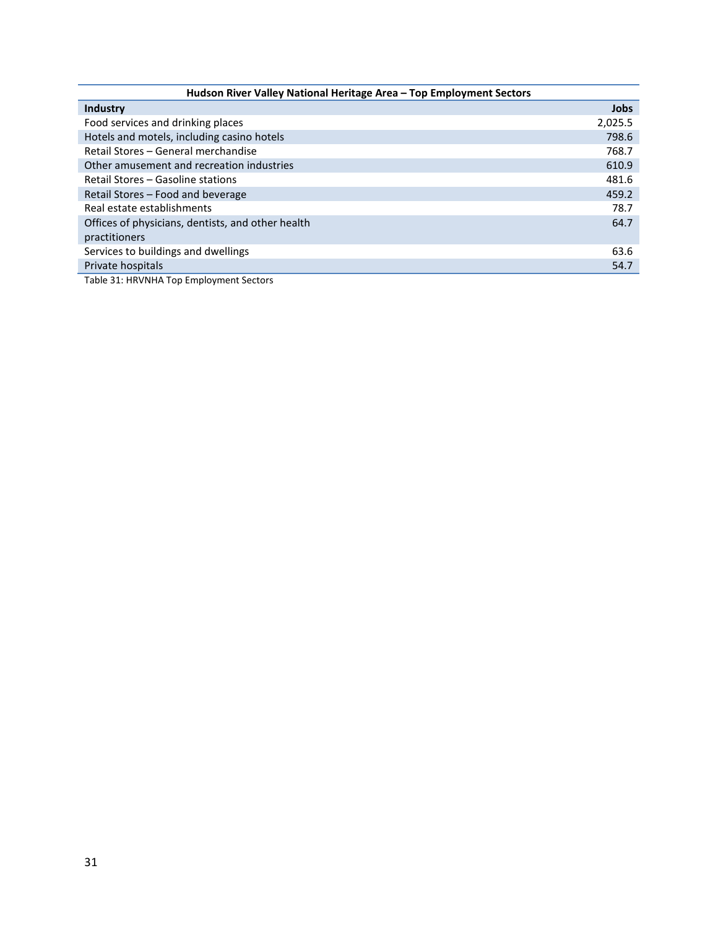| Hudson River Valley National Heritage Area - Top Employment Sectors |             |  |  |  |
|---------------------------------------------------------------------|-------------|--|--|--|
| Industry                                                            | <b>Jobs</b> |  |  |  |
| Food services and drinking places                                   | 2,025.5     |  |  |  |
| Hotels and motels, including casino hotels                          | 798.6       |  |  |  |
| Retail Stores - General merchandise                                 | 768.7       |  |  |  |
| Other amusement and recreation industries                           | 610.9       |  |  |  |
| Retail Stores – Gasoline stations                                   | 481.6       |  |  |  |
| Retail Stores - Food and beverage                                   | 459.2       |  |  |  |
| Real estate establishments                                          | 78.7        |  |  |  |
| Offices of physicians, dentists, and other health                   | 64.7        |  |  |  |
| practitioners                                                       |             |  |  |  |
| Services to buildings and dwellings                                 | 63.6        |  |  |  |
| Private hospitals                                                   | 54.7        |  |  |  |

<span id="page-31-0"></span>Table 31: HRVNHA Top Employment Sectors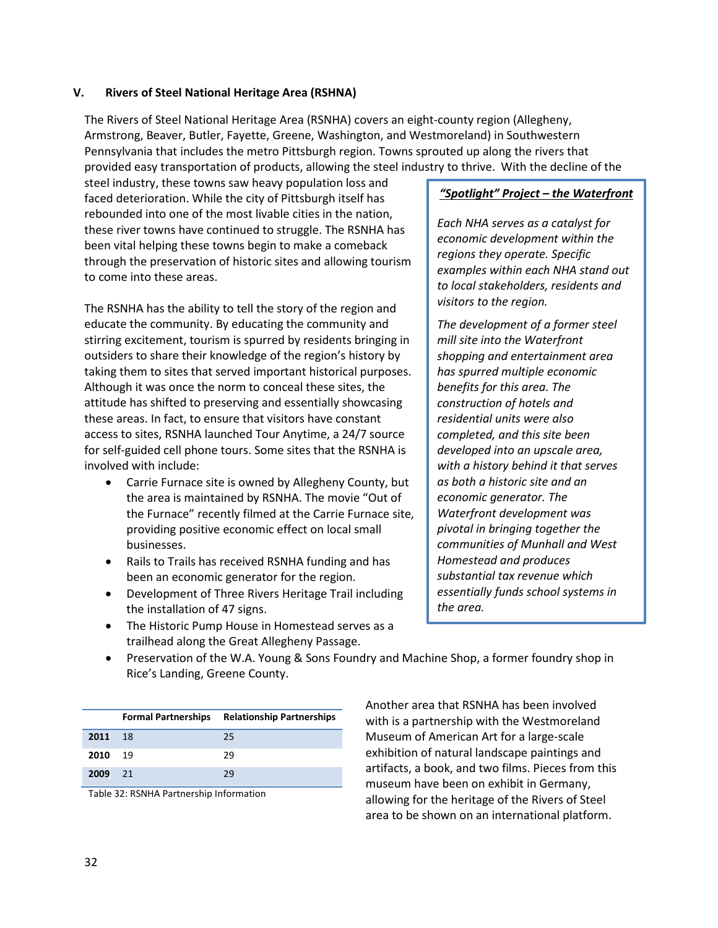#### <span id="page-32-0"></span>**V. Rivers of Steel National Heritage Area (RSHNA)**

The Rivers of Steel National Heritage Area (RSNHA) covers an eight-county region (Allegheny, Armstrong, Beaver, Butler, Fayette, Greene, Washington, and Westmoreland) in Southwestern Pennsylvania that includes the metro Pittsburgh region. Towns sprouted up along the rivers that provided easy transportation of products, allowing the steel industry to thrive. With the decline of the

steel industry, these towns saw heavy population loss and faced deterioration. While the city of Pittsburgh itself has rebounded into one of the most livable cities in the nation, these river towns have continued to struggle. The RSNHA has been vital helping these towns begin to make a comeback through the preservation of historic sites and allowing tourism to come into these areas.

The RSNHA has the ability to tell the story of the region and educate the community. By educating the community and stirring excitement, tourism is spurred by residents bringing in outsiders to share their knowledge of the region's history by taking them to sites that served important historical purposes. Although it was once the norm to conceal these sites, the attitude has shifted to preserving and essentially showcasing these areas. In fact, to ensure that visitors have constant access to sites, RSNHA launched Tour Anytime, a 24/7 source for self-guided cell phone tours. Some sites that the RSNHA is involved with include:

- Carrie Furnace site is owned by Allegheny County, but the area is maintained by RSNHA. The movie "Out of the Furnace" recently filmed at the Carrie Furnace site, providing positive economic effect on local small businesses.
- Rails to Trails has received RSNHA funding and has been an economic generator for the region.
- Development of Three Rivers Heritage Trail including the installation of 47 signs.
- The Historic Pump House in Homestead serves as a trailhead along the Great Allegheny Passage.

## *"Spotlight" Project – the Waterfront*

*Each NHA serves as a catalyst for economic development within the regions they operate. Specific examples within each NHA stand out to local stakeholders, residents and visitors to the region.* 

*The development of a former steel mill site into the Waterfront shopping and entertainment area has spurred multiple economic benefits for this area. The construction of hotels and residential units were also completed, and this site been developed into an upscale area, with a history behind it that serves as both a historic site and an economic generator. The Waterfront development was pivotal in bringing together the communities of Munhall and West Homestead and produces substantial tax revenue which essentially funds school systems in the area.*

• Preservation of the W.A. Young & Sons Foundry and Machine Shop, a former foundry shop in Rice's Landing, Greene County.

|         |      | <b>Formal Partnerships</b> Relationship Partnerships |
|---------|------|------------------------------------------------------|
| 2011    | - 18 | 25                                                   |
| 2010    | 19   | 29                                                   |
| 2009 21 |      | 29                                                   |

Table 32: RSNHA Partnership Information

Another area that RSNHA has been involved with is a partnership with the Westmoreland Museum of American Art for a large-scale exhibition of natural landscape paintings and artifacts, a book, and two films. Pieces from this museum have been on exhibit in Germany, allowing for the heritage of the Rivers of Steel area to be shown on an international platform.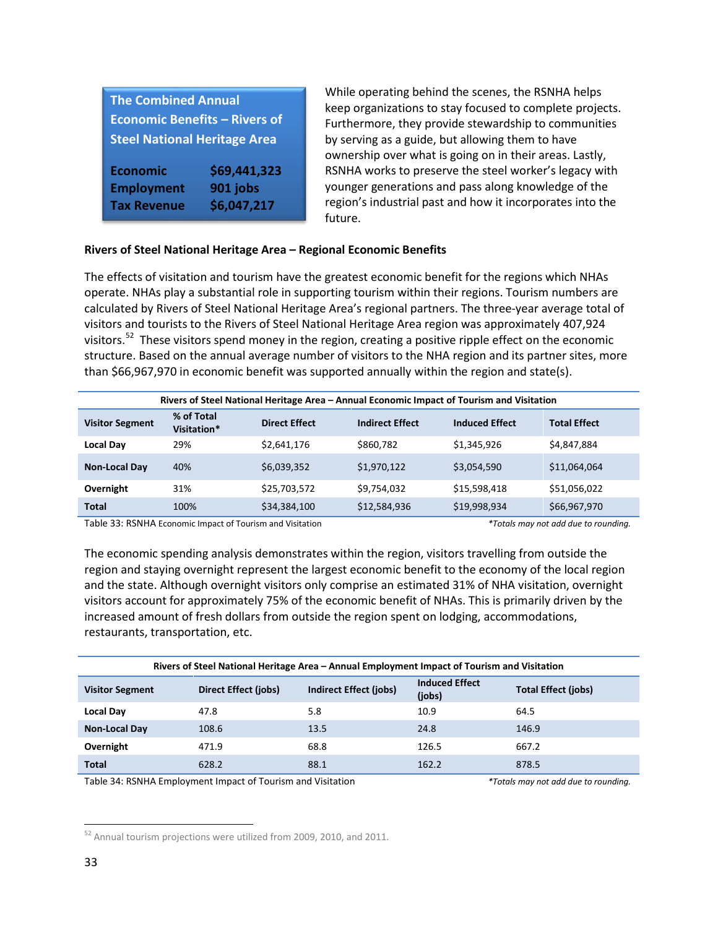| <b>The Combined Annual</b>           |                         |  |  |  |  |
|--------------------------------------|-------------------------|--|--|--|--|
| <b>Economic Benefits - Rivers of</b> |                         |  |  |  |  |
| <b>Steel National Heritage Area</b>  |                         |  |  |  |  |
|                                      |                         |  |  |  |  |
|                                      |                         |  |  |  |  |
| <b>Economic</b>                      | \$69,441,323            |  |  |  |  |
| <b>Employment</b>                    | 901 jobs<br>\$6,047,217 |  |  |  |  |

While operating behind the scenes, the RSNHA helps keep organizations to stay focused to complete projects. Furthermore, they provide stewardship to communities by serving as a guide, but allowing them to have ownership over what is going on in their areas. Lastly, RSNHA works to preserve the steel worker's legacy with younger generations and pass along knowledge of the region's industrial past and how it incorporates into the future.

#### **Rivers of Steel National Heritage Area – Regional Economic Benefits**

The effects of visitation and tourism have the greatest economic benefit for the regions which NHAs operate. NHAs play a substantial role in supporting tourism within their regions. Tourism numbers are calculated by Rivers of Steel National Heritage Area's regional partners. The three-year average total of visitors and tourists to the Rivers of Steel National Heritage Area region was approximately 407,924 visitors.<sup>[52](#page-33-2)</sup> These visitors spend money in the region, creating a positive ripple effect on the economic structure. Based on the annual average number of visitors to the NHA region and its partner sites, more than \$66,967,970 in economic benefit was supported annually within the region and state(s).

| Rivers of Steel National Heritage Area - Annual Economic Impact of Tourism and Visitation |                           |                      |                        |                       |                     |
|-------------------------------------------------------------------------------------------|---------------------------|----------------------|------------------------|-----------------------|---------------------|
| <b>Visitor Segment</b>                                                                    | % of Total<br>Visitation* | <b>Direct Effect</b> | <b>Indirect Effect</b> | <b>Induced Effect</b> | <b>Total Effect</b> |
| <b>Local Day</b>                                                                          | 29%                       | \$2,641,176          | \$860,782              | \$1,345,926           | \$4,847,884         |
| <b>Non-Local Day</b>                                                                      | 40%                       | \$6,039,352          | \$1,970,122            | \$3,054,590           | \$11,064,064        |
| Overnight                                                                                 | 31%                       | \$25,703,572         | \$9,754,032            | \$15,598,418          | \$51,056,022        |
| <b>Total</b>                                                                              | 100%                      | \$34,384,100         | \$12,584,936           | \$19,998,934          | \$66,967,970        |

<span id="page-33-0"></span>Table 33: RSNHA Economic Impact of Tourism and Visitation *\*Totals may not add due to rounding.* 

The economic spending analysis demonstrates within the region, visitors travelling from outside the region and staying overnight represent the largest economic benefit to the economy of the local region and the state. Although overnight visitors only comprise an estimated 31% of NHA visitation, overnight visitors account for approximately 75% of the economic benefit of NHAs. This is primarily driven by the increased amount of fresh dollars from outside the region spent on lodging, accommodations, restaurants, transportation, etc.

| Rivers of Steel National Heritage Area – Annual Employment Impact of Tourism and Visitation |                      |                               |                                 |                            |  |
|---------------------------------------------------------------------------------------------|----------------------|-------------------------------|---------------------------------|----------------------------|--|
| <b>Visitor Segment</b>                                                                      | Direct Effect (jobs) | <b>Indirect Effect (jobs)</b> | <b>Induced Effect</b><br>(jobs) | <b>Total Effect (jobs)</b> |  |
| <b>Local Day</b>                                                                            | 47.8                 | 5.8                           | 10.9                            | 64.5                       |  |
| <b>Non-Local Day</b>                                                                        | 108.6                | 13.5                          | 24.8                            | 146.9                      |  |
| Overnight                                                                                   | 471.9                | 68.8                          | 126.5                           | 667.2                      |  |
| <b>Total</b>                                                                                | 628.2                | 88.1                          | 162.2                           | 878.5                      |  |

<span id="page-33-1"></span>Table 34: RSNHA Employment Impact of Tourism and Visitation *\*Totals may not add due to rounding.* 

<span id="page-33-2"></span><sup>&</sup>lt;sup>52</sup> Annual tourism projections were utilized from 2009, 2010, and 2011.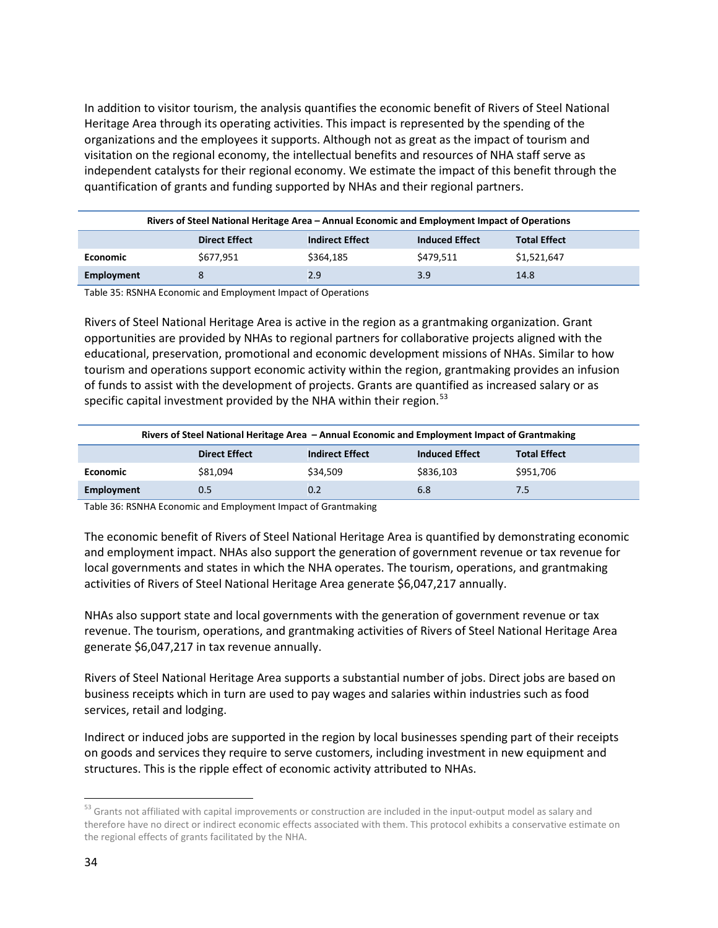In addition to visitor tourism, the analysis quantifies the economic benefit of Rivers of Steel National Heritage Area through its operating activities. This impact is represented by the spending of the organizations and the employees it supports. Although not as great as the impact of tourism and visitation on the regional economy, the intellectual benefits and resources of NHA staff serve as independent catalysts for their regional economy. We estimate the impact of this benefit through the quantification of grants and funding supported by NHAs and their regional partners.

| Rivers of Steel National Heritage Area – Annual Economic and Employment Impact of Operations |                                                                                                |           |           |             |  |  |
|----------------------------------------------------------------------------------------------|------------------------------------------------------------------------------------------------|-----------|-----------|-------------|--|--|
|                                                                                              | <b>Induced Effect</b><br><b>Total Effect</b><br><b>Direct Effect</b><br><b>Indirect Effect</b> |           |           |             |  |  |
| <b>Economic</b>                                                                              | \$677.951                                                                                      | \$364.185 | \$479,511 | \$1,521,647 |  |  |
| Employment                                                                                   | 8                                                                                              | 2.9       | 3.9       | 14.8        |  |  |

<span id="page-34-0"></span>Table 35: RSNHA Economic and Employment Impact of Operations

Rivers of Steel National Heritage Area is active in the region as a grantmaking organization. Grant opportunities are provided by NHAs to regional partners for collaborative projects aligned with the educational, preservation, promotional and economic development missions of NHAs. Similar to how tourism and operations support economic activity within the region, grantmaking provides an infusion of funds to assist with the development of projects. Grants are quantified as increased salary or as specific capital investment provided by the NHA within their region.<sup>[53](#page-34-2)</sup>

| Rivers of Steel National Heritage Area – Annual Economic and Employment Impact of Grantmaking |                                                                                                |          |           |           |  |  |
|-----------------------------------------------------------------------------------------------|------------------------------------------------------------------------------------------------|----------|-----------|-----------|--|--|
|                                                                                               | <b>Indirect Effect</b><br><b>Direct Effect</b><br><b>Induced Effect</b><br><b>Total Effect</b> |          |           |           |  |  |
| <b>Economic</b>                                                                               | \$81.094                                                                                       | \$34.509 | \$836.103 | \$951,706 |  |  |
| Employment                                                                                    | 0.5                                                                                            | 0.2      | 6.8       | 7.5       |  |  |

<span id="page-34-1"></span>Table 36: RSNHA Economic and Employment Impact of Grantmaking

The economic benefit of Rivers of Steel National Heritage Area is quantified by demonstrating economic and employment impact. NHAs also support the generation of government revenue or tax revenue for local governments and states in which the NHA operates. The tourism, operations, and grantmaking activities of Rivers of Steel National Heritage Area generate \$6,047,217 annually.

NHAs also support state and local governments with the generation of government revenue or tax revenue. The tourism, operations, and grantmaking activities of Rivers of Steel National Heritage Area generate \$6,047,217 in tax revenue annually.

Rivers of Steel National Heritage Area supports a substantial number of jobs. Direct jobs are based on business receipts which in turn are used to pay wages and salaries within industries such as food services, retail and lodging.

Indirect or induced jobs are supported in the region by local businesses spending part of their receipts on goods and services they require to serve customers, including investment in new equipment and structures. This is the ripple effect of economic activity attributed to NHAs.

<span id="page-34-2"></span><sup>&</sup>lt;sup>53</sup> Grants not affiliated with capital improvements or construction are included in the input-output model as salary and therefore have no direct or indirect economic effects associated with them. This protocol exhibits a conservative estimate on the regional effects of grants facilitated by the NHA.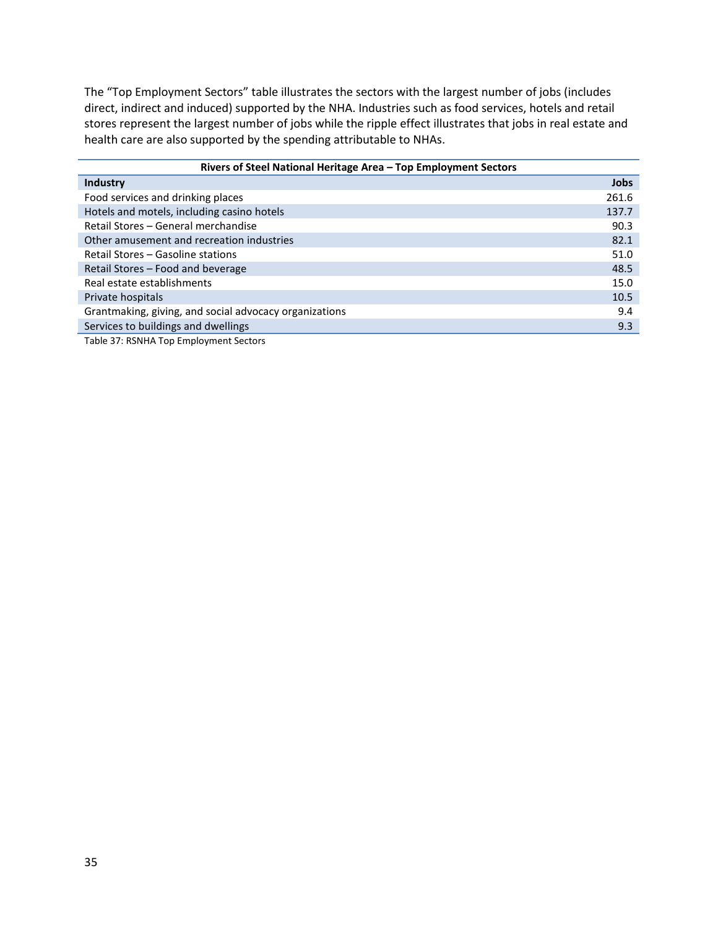The "Top Employment Sectors" table illustrates the sectors with the largest number of jobs (includes direct, indirect and induced) supported by the NHA. Industries such as food services, hotels and retail stores represent the largest number of jobs while the ripple effect illustrates that jobs in real estate and health care are also supported by the spending attributable to NHAs.

| Rivers of Steel National Heritage Area - Top Employment Sectors |             |  |  |
|-----------------------------------------------------------------|-------------|--|--|
| <b>Industry</b>                                                 | <b>Jobs</b> |  |  |
| Food services and drinking places                               | 261.6       |  |  |
| Hotels and motels, including casino hotels                      | 137.7       |  |  |
| Retail Stores - General merchandise                             | 90.3        |  |  |
| Other amusement and recreation industries                       | 82.1        |  |  |
| Retail Stores – Gasoline stations                               | 51.0        |  |  |
| Retail Stores - Food and beverage                               | 48.5        |  |  |
| Real estate establishments                                      | 15.0        |  |  |
| Private hospitals                                               | 10.5        |  |  |
| Grantmaking, giving, and social advocacy organizations          | 9.4         |  |  |
| Services to buildings and dwellings                             | 9.3         |  |  |
| — II A — BALIILL — FI I I I LA I                                |             |  |  |

<span id="page-35-0"></span>Table 37: RSNHA Top Employment Sectors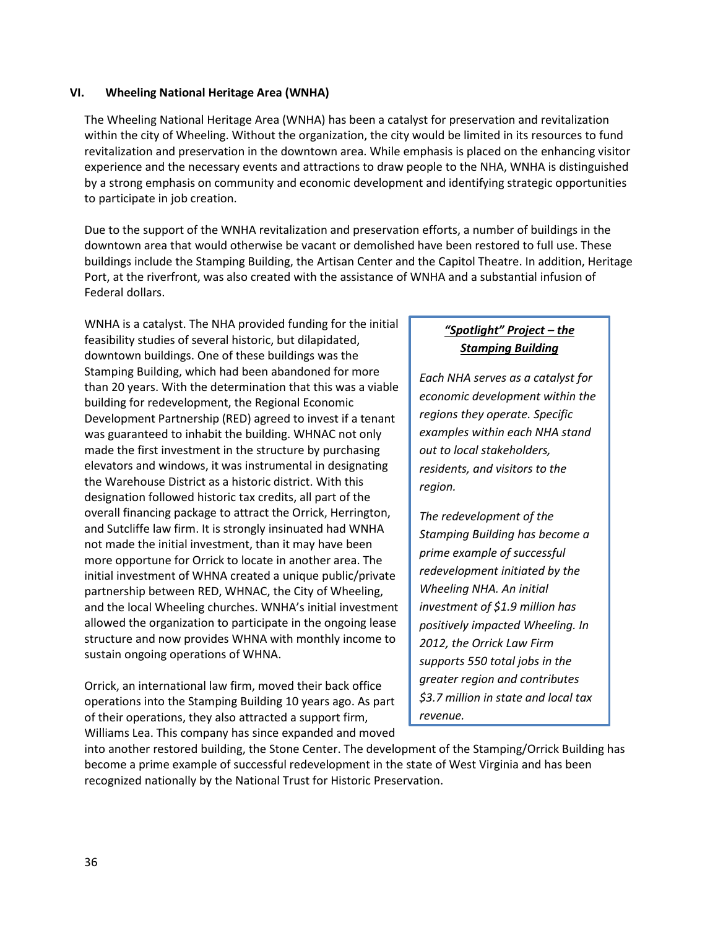#### <span id="page-36-0"></span>**VI. Wheeling National Heritage Area (WNHA)**

The Wheeling National Heritage Area (WNHA) has been a catalyst for preservation and revitalization within the city of Wheeling. Without the organization, the city would be limited in its resources to fund revitalization and preservation in the downtown area. While emphasis is placed on the enhancing visitor experience and the necessary events and attractions to draw people to the NHA, WNHA is distinguished by a strong emphasis on community and economic development and identifying strategic opportunities to participate in job creation.

Due to the support of the WNHA revitalization and preservation efforts, a number of buildings in the downtown area that would otherwise be vacant or demolished have been restored to full use. These buildings include the Stamping Building, the Artisan Center and the Capitol Theatre. In addition, Heritage Port, at the riverfront, was also created with the assistance of WNHA and a substantial infusion of Federal dollars.

WNHA is a catalyst. The NHA provided funding for the initial feasibility studies of several historic, but dilapidated, downtown buildings. One of these buildings was the Stamping Building, which had been abandoned for more than 20 years. With the determination that this was a viable building for redevelopment, the Regional Economic Development Partnership (RED) agreed to invest if a tenant was guaranteed to inhabit the building. WHNAC not only made the first investment in the structure by purchasing elevators and windows, it was instrumental in designating the Warehouse District as a historic district. With this designation followed historic tax credits, all part of the overall financing package to attract the Orrick, Herrington, and Sutcliffe law firm. It is strongly insinuated had WNHA not made the initial investment, than it may have been more opportune for Orrick to locate in another area. The initial investment of WHNA created a unique public/private partnership between RED, WHNAC, the City of Wheeling, and the local Wheeling churches. WNHA's initial investment allowed the organization to participate in the ongoing lease structure and now provides WHNA with monthly income to sustain ongoing operations of WHNA.

Orrick, an international law firm, moved their back office operations into the Stamping Building 10 years ago. As part of their operations, they also attracted a support firm, Williams Lea. This company has since expanded and moved

## *"Spotlight" Project – the Stamping Building*

*Each NHA serves as a catalyst for economic development within the regions they operate. Specific examples within each NHA stand out to local stakeholders, residents, and visitors to the region.* 

*The redevelopment of the Stamping Building has become a prime example of successful redevelopment initiated by the Wheeling NHA. An initial investment of \$1.9 million has positively impacted Wheeling. In 2012, the Orrick Law Firm supports 550 total jobs in the greater region and contributes \$3.7 million in state and local tax revenue.* 

into another restored building, the Stone Center. The development of the Stamping/Orrick Building has become a prime example of successful redevelopment in the state of West Virginia and has been recognized nationally by the National Trust for Historic Preservation.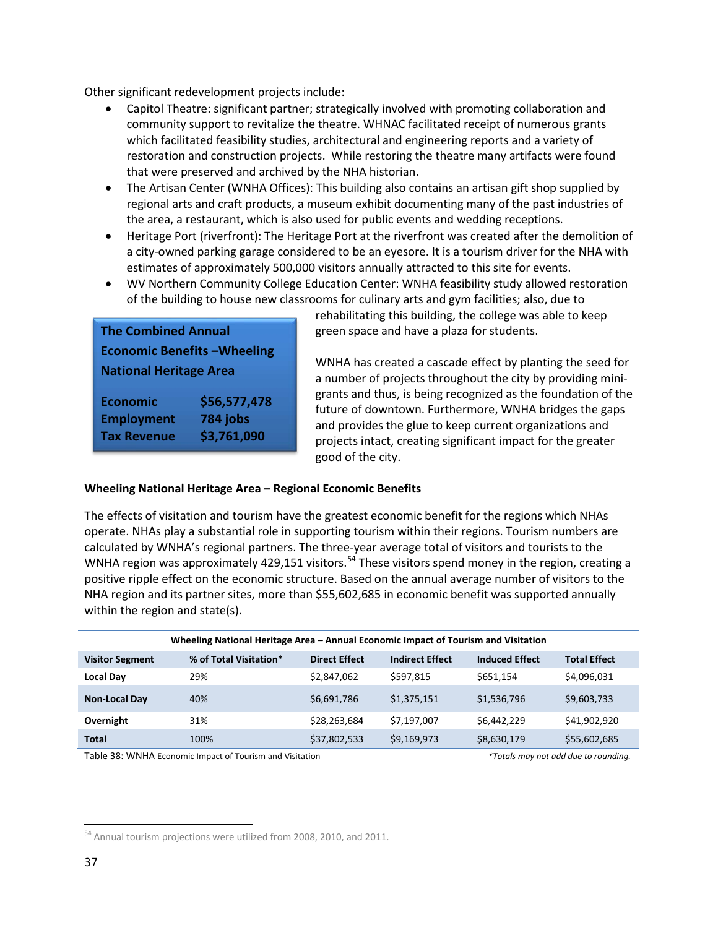Other significant redevelopment projects include:

- Capitol Theatre: significant partner; strategically involved with promoting collaboration and community support to revitalize the theatre. WHNAC facilitated receipt of numerous grants which facilitated feasibility studies, architectural and engineering reports and a variety of restoration and construction projects. While restoring the theatre many artifacts were found that were preserved and archived by the NHA historian.
- The Artisan Center (WNHA Offices): This building also contains an artisan gift shop supplied by regional arts and craft products, a museum exhibit documenting many of the past industries of the area, a restaurant, which is also used for public events and wedding receptions.
- Heritage Port (riverfront): The Heritage Port at the riverfront was created after the demolition of a city-owned parking garage considered to be an eyesore. It is a tourism driver for the NHA with estimates of approximately 500,000 visitors annually attracted to this site for events.
- WV Northern Community College Education Center: WNHA feasibility study allowed restoration of the building to house new classrooms for culinary arts and gym facilities; also, due to

| <b>The Combined Annual</b>        |              |  |  |  |  |
|-----------------------------------|--------------|--|--|--|--|
| <b>Economic Benefits-Wheeling</b> |              |  |  |  |  |
| <b>National Heritage Area</b>     |              |  |  |  |  |
| <b>Economic</b>                   | \$56,577,478 |  |  |  |  |
| 784 jobs<br><b>Employment</b>     |              |  |  |  |  |
| \$3,761,090<br><b>Tax Revenue</b> |              |  |  |  |  |

rehabilitating this building, the college was able to keep green space and have a plaza for students.

WNHA has created a cascade effect by planting the seed for a number of projects throughout the city by providing minigrants and thus, is being recognized as the foundation of the future of downtown. Furthermore, WNHA bridges the gaps and provides the glue to keep current organizations and projects intact, creating significant impact for the greater good of the city.

#### **Wheeling National Heritage Area – Regional Economic Benefits**

The effects of visitation and tourism have the greatest economic benefit for the regions which NHAs operate. NHAs play a substantial role in supporting tourism within their regions. Tourism numbers are calculated by WNHA's regional partners. The three-year average total of visitors and tourists to the WNHA region was approximately 429,151 visitors.<sup>[54](#page-37-1)</sup> These visitors spend money in the region, creating a positive ripple effect on the economic structure. Based on the annual average number of visitors to the NHA region and its partner sites, more than \$55,602,685 in economic benefit was supported annually within the region and state(s).

| Wheeling National Heritage Area - Annual Economic Impact of Tourism and Visitation |                        |                      |                        |                       |                     |
|------------------------------------------------------------------------------------|------------------------|----------------------|------------------------|-----------------------|---------------------|
| <b>Visitor Segment</b>                                                             | % of Total Visitation* | <b>Direct Effect</b> | <b>Indirect Effect</b> | <b>Induced Effect</b> | <b>Total Effect</b> |
| <b>Local Day</b>                                                                   | 29%                    | \$2.847.062          | \$597.815              | \$651.154             | \$4,096,031         |
| <b>Non-Local Day</b>                                                               | 40%                    | \$6,691,786          | \$1,375,151            | \$1,536,796           | \$9,603,733         |
| Overnight                                                                          | 31%                    | \$28,263,684         | \$7.197.007            | \$6,442,229           | \$41,902,920        |
| <b>Total</b>                                                                       | 100%                   | \$37,802,533         | \$9,169,973            | \$8,630,179           | \$55,602,685        |

<span id="page-37-0"></span>Table 38: WNHA Economic Impact of Tourism and Visitation *\*Totals may not add due to rounding.* 

<span id="page-37-1"></span><sup>&</sup>lt;sup>54</sup> Annual tourism projections were utilized from 2008, 2010, and 2011.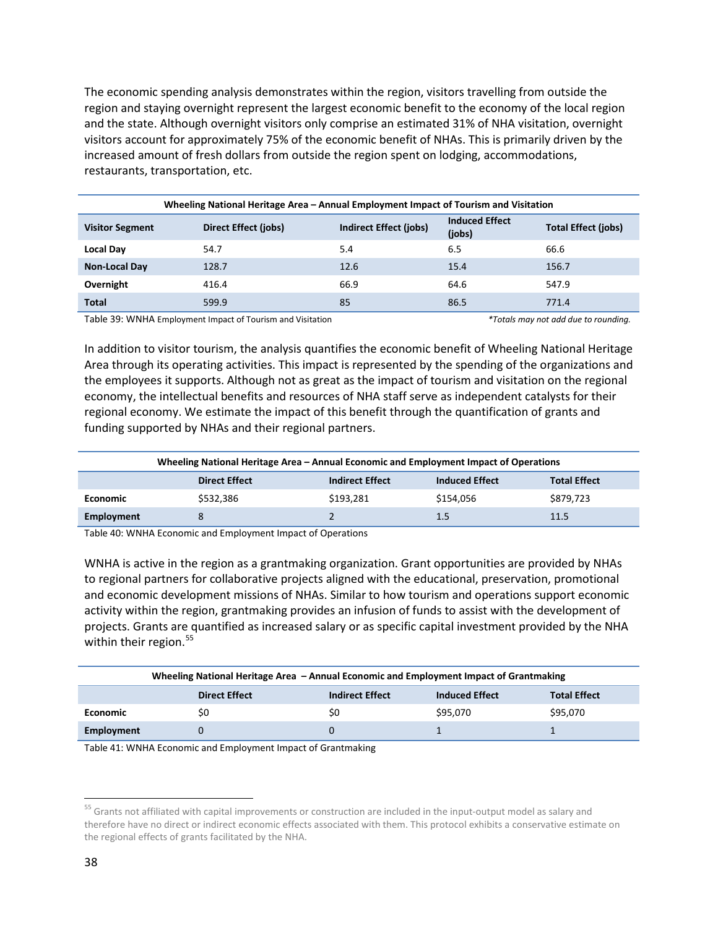The economic spending analysis demonstrates within the region, visitors travelling from outside the region and staying overnight represent the largest economic benefit to the economy of the local region and the state. Although overnight visitors only comprise an estimated 31% of NHA visitation, overnight visitors account for approximately 75% of the economic benefit of NHAs. This is primarily driven by the increased amount of fresh dollars from outside the region spent on lodging, accommodations, restaurants, transportation, etc.

| Wheeling National Heritage Area – Annual Employment Impact of Tourism and Visitation |                      |                               |                                 |                            |  |
|--------------------------------------------------------------------------------------|----------------------|-------------------------------|---------------------------------|----------------------------|--|
| <b>Visitor Segment</b>                                                               | Direct Effect (jobs) | <b>Indirect Effect (jobs)</b> | <b>Induced Effect</b><br>(jobs) | <b>Total Effect (jobs)</b> |  |
| <b>Local Day</b>                                                                     | 54.7                 | 5.4                           | 6.5                             | 66.6                       |  |
| <b>Non-Local Day</b>                                                                 | 128.7                | 12.6                          | 15.4                            | 156.7                      |  |
| Overnight                                                                            | 416.4                | 66.9                          | 64.6                            | 547.9                      |  |
| <b>Total</b>                                                                         | 599.9                | 85                            | 86.5                            | 771.4                      |  |

<span id="page-38-0"></span>Table 39: WNHA Employment Impact of Tourism and Visitation *\*Totals may not add due to rounding.* 

In addition to visitor tourism, the analysis quantifies the economic benefit of Wheeling National Heritage Area through its operating activities. This impact is represented by the spending of the organizations and the employees it supports. Although not as great as the impact of tourism and visitation on the regional economy, the intellectual benefits and resources of NHA staff serve as independent catalysts for their regional economy. We estimate the impact of this benefit through the quantification of grants and funding supported by NHAs and their regional partners.

|                 | Wheeling National Heritage Area – Annual Economic and Employment Impact of Operations |                        |                       |                     |  |  |
|-----------------|---------------------------------------------------------------------------------------|------------------------|-----------------------|---------------------|--|--|
|                 | <b>Direct Effect</b>                                                                  | <b>Indirect Effect</b> | <b>Induced Effect</b> | <b>Total Effect</b> |  |  |
| <b>Economic</b> | \$532.386                                                                             | \$193,281              | \$154.056             | \$879,723           |  |  |
| Employment      | 8                                                                                     |                        | 1.5                   | 11.5                |  |  |

<span id="page-38-1"></span>Table 40: WNHA Economic and Employment Impact of Operations

WNHA is active in the region as a grantmaking organization. Grant opportunities are provided by NHAs to regional partners for collaborative projects aligned with the educational, preservation, promotional and economic development missions of NHAs. Similar to how tourism and operations support economic activity within the region, grantmaking provides an infusion of funds to assist with the development of projects. Grants are quantified as increased salary or as specific capital investment provided by the NHA within their region. $55$ 

|                 | Wheeling National Heritage Area - Annual Economic and Employment Impact of Grantmaking |                        |                       |                     |  |  |
|-----------------|----------------------------------------------------------------------------------------|------------------------|-----------------------|---------------------|--|--|
|                 | <b>Direct Effect</b>                                                                   | <b>Indirect Effect</b> | <b>Induced Effect</b> | <b>Total Effect</b> |  |  |
| <b>Economic</b> | S0                                                                                     | S0                     | \$95,070              | \$95,070            |  |  |
| Employment      |                                                                                        |                        |                       |                     |  |  |

<span id="page-38-2"></span>Table 41: WNHA Economic and Employment Impact of Grantmaking

<span id="page-38-3"></span><sup>&</sup>lt;sup>55</sup> Grants not affiliated with capital improvements or construction are included in the input-output model as salary and therefore have no direct or indirect economic effects associated with them. This protocol exhibits a conservative estimate on the regional effects of grants facilitated by the NHA.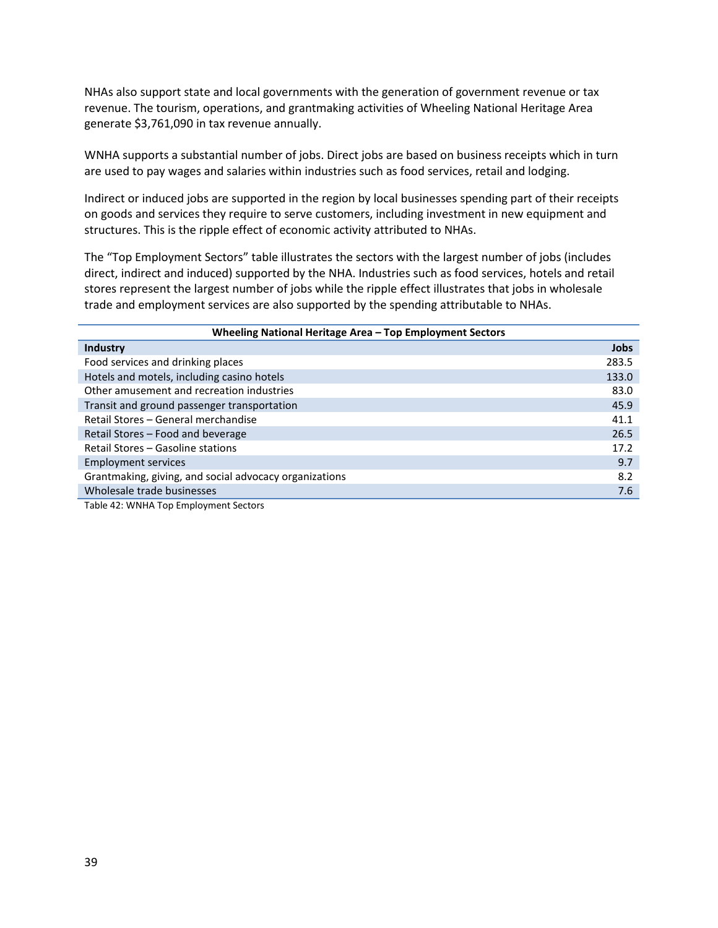NHAs also support state and local governments with the generation of government revenue or tax revenue. The tourism, operations, and grantmaking activities of Wheeling National Heritage Area generate \$3,761,090 in tax revenue annually.

WNHA supports a substantial number of jobs. Direct jobs are based on business receipts which in turn are used to pay wages and salaries within industries such as food services, retail and lodging.

Indirect or induced jobs are supported in the region by local businesses spending part of their receipts on goods and services they require to serve customers, including investment in new equipment and structures. This is the ripple effect of economic activity attributed to NHAs.

The "Top Employment Sectors" table illustrates the sectors with the largest number of jobs (includes direct, indirect and induced) supported by the NHA. Industries such as food services, hotels and retail stores represent the largest number of jobs while the ripple effect illustrates that jobs in wholesale trade and employment services are also supported by the spending attributable to NHAs.

| Wheeling National Heritage Area - Top Employment Sectors |       |  |  |  |
|----------------------------------------------------------|-------|--|--|--|
| <b>Industry</b>                                          | Jobs  |  |  |  |
| Food services and drinking places                        | 283.5 |  |  |  |
| Hotels and motels, including casino hotels               | 133.0 |  |  |  |
| Other amusement and recreation industries                | 83.0  |  |  |  |
| Transit and ground passenger transportation              | 45.9  |  |  |  |
| Retail Stores - General merchandise                      | 41.1  |  |  |  |
| Retail Stores - Food and beverage                        | 26.5  |  |  |  |
| Retail Stores - Gasoline stations                        | 17.2  |  |  |  |
| <b>Employment services</b>                               | 9.7   |  |  |  |
| Grantmaking, giving, and social advocacy organizations   | 8.2   |  |  |  |
| Wholesale trade businesses                               | 7.6   |  |  |  |

<span id="page-39-0"></span>Table 42: WNHA Top Employment Sectors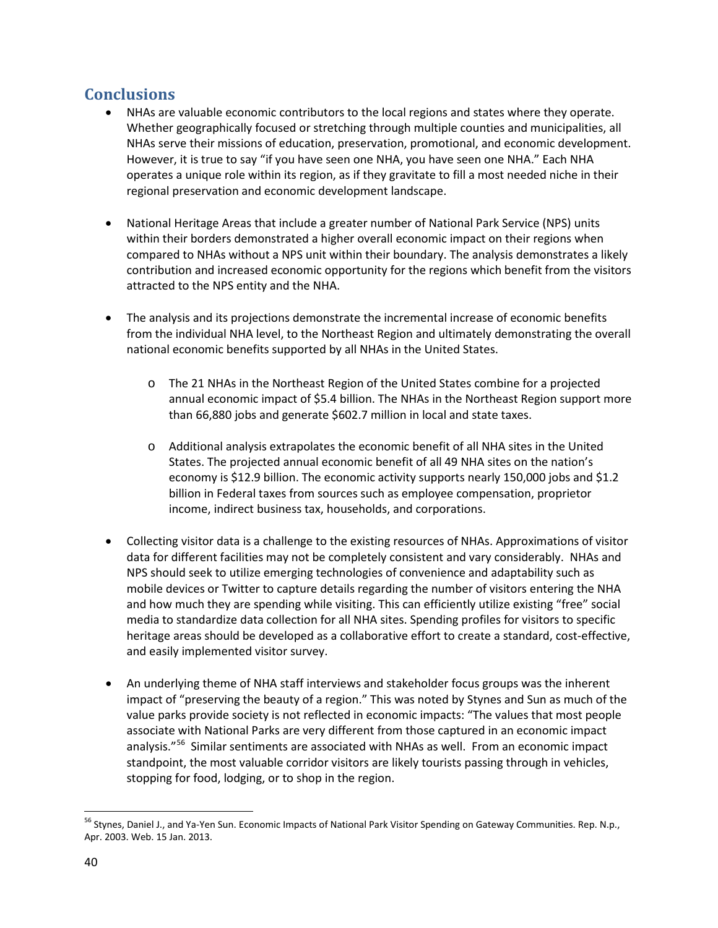# <span id="page-40-0"></span>**Conclusions**

- NHAs are valuable economic contributors to the local regions and states where they operate. Whether geographically focused or stretching through multiple counties and municipalities, all NHAs serve their missions of education, preservation, promotional, and economic development. However, it is true to say "if you have seen one NHA, you have seen one NHA." Each NHA operates a unique role within its region, as if they gravitate to fill a most needed niche in their regional preservation and economic development landscape.
- National Heritage Areas that include a greater number of National Park Service (NPS) units within their borders demonstrated a higher overall economic impact on their regions when compared to NHAs without a NPS unit within their boundary. The analysis demonstrates a likely contribution and increased economic opportunity for the regions which benefit from the visitors attracted to the NPS entity and the NHA.
- The analysis and its projections demonstrate the incremental increase of economic benefits from the individual NHA level, to the Northeast Region and ultimately demonstrating the overall national economic benefits supported by all NHAs in the United States.
	- o The 21 NHAs in the Northeast Region of the United States combine for a projected annual economic impact of \$5.4 billion. The NHAs in the Northeast Region support more than 66,880 jobs and generate \$602.7 million in local and state taxes.
	- o Additional analysis extrapolates the economic benefit of all NHA sites in the United States. The projected annual economic benefit of all 49 NHA sites on the nation's economy is \$12.9 billion. The economic activity supports nearly 150,000 jobs and \$1.2 billion in Federal taxes from sources such as employee compensation, proprietor income, indirect business tax, households, and corporations.
- Collecting visitor data is a challenge to the existing resources of NHAs. Approximations of visitor data for different facilities may not be completely consistent and vary considerably. NHAs and NPS should seek to utilize emerging technologies of convenience and adaptability such as mobile devices or Twitter to capture details regarding the number of visitors entering the NHA and how much they are spending while visiting. This can efficiently utilize existing "free" social media to standardize data collection for all NHA sites. Spending profiles for visitors to specific heritage areas should be developed as a collaborative effort to create a standard, cost-effective, and easily implemented visitor survey.
- An underlying theme of NHA staff interviews and stakeholder focus groups was the inherent impact of "preserving the beauty of a region." This was noted by Stynes and Sun as much of the value parks provide society is not reflected in economic impacts: "The values that most people associate with National Parks are very different from those captured in an economic impact analysis."<sup>[56](#page-40-1)</sup> Similar sentiments are associated with NHAs as well. From an economic impact standpoint, the most valuable corridor visitors are likely tourists passing through in vehicles, stopping for food, lodging, or to shop in the region.

<span id="page-40-1"></span><sup>&</sup>lt;sup>56</sup> Stynes, Daniel J., and Ya-Yen Sun. Economic Impacts of National Park Visitor Spending on Gateway Communities. Rep. N.p., Apr. 2003. Web. 15 Jan. 2013.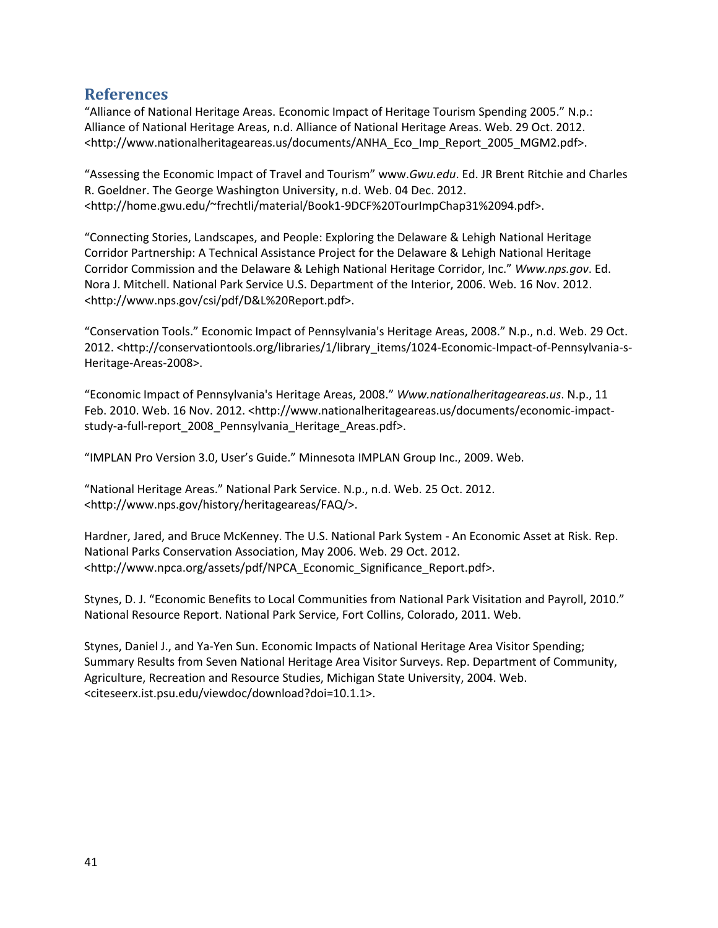# <span id="page-41-0"></span>**References**

"Alliance of National Heritage Areas. Economic Impact of Heritage Tourism Spending 2005." N.p.: Alliance of National Heritage Areas, n.d. Alliance of National Heritage Areas. Web. 29 Oct. 2012. <http://www.nationalheritageareas.us/documents/ANHA\_Eco\_Imp\_Report\_2005\_MGM2.pdf>.

"Assessing the Economic Impact of Travel and Tourism" www.*Gwu.edu*. Ed. JR Brent Ritchie and Charles R. Goeldner. The George Washington University, n.d. Web. 04 Dec. 2012. <http://home.gwu.edu/~frechtli/material/Book1-9DCF%20TourImpChap31%2094.pdf>.

"Connecting Stories, Landscapes, and People: Exploring the Delaware & Lehigh National Heritage Corridor Partnership: A Technical Assistance Project for the Delaware & Lehigh National Heritage Corridor Commission and the Delaware & Lehigh National Heritage Corridor, Inc." *Www.nps.gov*. Ed. Nora J. Mitchell. National Park Service U.S. Department of the Interior, 2006. Web. 16 Nov. 2012. <http://www.nps.gov/csi/pdf/D&L%20Report.pdf>.

"Conservation Tools." Economic Impact of Pennsylvania's Heritage Areas, 2008." N.p., n.d. Web. 29 Oct. 2012. <http://conservationtools.org/libraries/1/library\_items/1024-Economic-Impact-of-Pennsylvania-s-Heritage-Areas-2008>.

"Economic Impact of Pennsylvania's Heritage Areas, 2008." *Www.nationalheritageareas.us*. N.p., 11 Feb. 2010. Web. 16 Nov. 2012. <http://www.nationalheritageareas.us/documents/economic-impactstudy-a-full-report\_2008\_Pennsylvania\_Heritage\_Areas.pdf>.

"IMPLAN Pro Version 3.0, User's Guide." Minnesota IMPLAN Group Inc., 2009. Web.

"National Heritage Areas." National Park Service. N.p., n.d. Web. 25 Oct. 2012. <http://www.nps.gov/history/heritageareas/FAQ/>.

Hardner, Jared, and Bruce McKenney. The U.S. National Park System - An Economic Asset at Risk. Rep. National Parks Conservation Association, May 2006. Web. 29 Oct. 2012. <http://www.npca.org/assets/pdf/NPCA\_Economic\_Significance\_Report.pdf>.

Stynes, D. J. "Economic Benefits to Local Communities from National Park Visitation and Payroll, 2010." National Resource Report. National Park Service, Fort Collins, Colorado, 2011. Web.

Stynes, Daniel J., and Ya-Yen Sun. Economic Impacts of National Heritage Area Visitor Spending; Summary Results from Seven National Heritage Area Visitor Surveys. Rep. Department of Community, Agriculture, Recreation and Resource Studies, Michigan State University, 2004. Web. <citeseerx.ist.psu.edu/viewdoc/download?doi=10.1.1>.